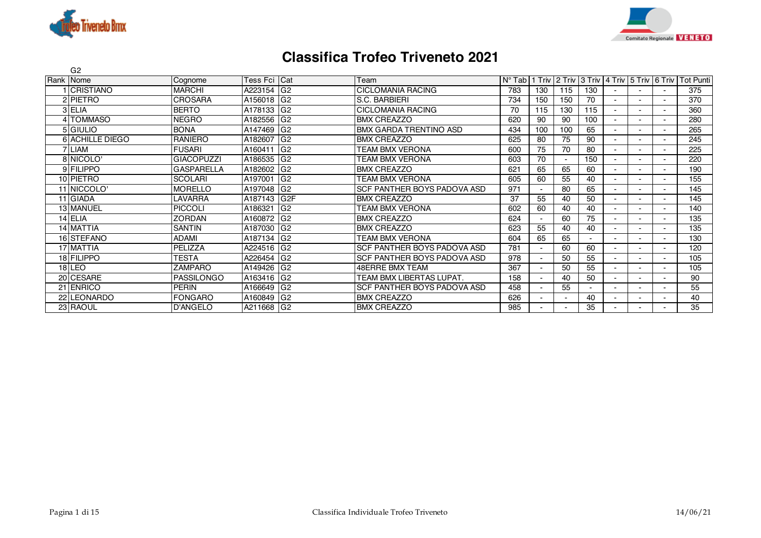



## **Classifica Trofeo Triveneto 2021**

| G <sub>2</sub>         |                   |                |                 |                                    |                 |     |                                                     |                          |                          |  |                  |
|------------------------|-------------------|----------------|-----------------|------------------------------------|-----------------|-----|-----------------------------------------------------|--------------------------|--------------------------|--|------------------|
| Rank Nome              | Cognome           | Tess Fci   Cat |                 | Team                               | $N^{\circ}$ Tab |     | 1 Triv   2 Triv   3 Triv   4 Triv   5 Triv   6 Triv |                          |                          |  | <b>Tot Punti</b> |
| <b>CRISTIANO</b>       | <b>MARCHI</b>     | A223154        | G <sub>2</sub>  | <b>CICLOMANIA RACING</b>           | 783             | 130 | 115                                                 | 130                      |                          |  | 375              |
| 2 PIETRO               | <b>CROSARA</b>    | A156018        | G <sub>2</sub>  | S.C. BARBIERI                      | 734             | 150 | 150                                                 | 70                       | $\overline{\phantom{a}}$ |  | 370              |
| 3 ELIA                 | <b>BERTO</b>      | A178133        | G <sub>2</sub>  | <b>CICLOMANIA RACING</b>           | 70              | 115 | 130                                                 | 115                      | $\overline{\phantom{a}}$ |  | 360              |
| 4 TOMMASO              | <b>NEGRO</b>      | A182556        | G <sub>2</sub>  | <b>BMX CREAZZO</b>                 | 620             | 90  | 90                                                  | 100                      | ٠                        |  | 280              |
| 5 GIULIO               | <b>BONA</b>       | A147469        | G <sub>2</sub>  | IBMX GARDA TRENTINO ASD            | 434             | 100 | 100                                                 | 65                       | Ξ.                       |  | 265              |
| <b>6 ACHILLE DIEGO</b> | <b>RANIERO</b>    | A182607        | G <sub>2</sub>  | <b>BMX CREAZZO</b>                 | 625             | 80  | 75                                                  | 90                       | ٠                        |  | 245              |
| 7 LIAM                 | <b>FUSARI</b>     | A160411        | G <sub>2</sub>  | TEAM BMX VERONA                    | 600             | 75  | 70                                                  | 80                       | ۰                        |  | 225              |
| 8 NICOLO'              | <b>GIACOPUZZI</b> | A186535        | G <sub>2</sub>  | TEAM BMX VERONA                    | 603             | 70  | $\overline{\phantom{a}}$                            | 150                      | ۰                        |  | 220              |
| 9 FILIPPO              | <b>GASPARELLA</b> | A182602        | G <sub>2</sub>  | <b>BMX CREAZZO</b>                 | 621             | 65  | 65                                                  | 60                       | ٠.                       |  | 190              |
| 10 PIETRO              | <b>SCOLARI</b>    | A197001        | G <sub>2</sub>  | TEAM BMX VERONA                    | 605             | 60  | 55                                                  | 40                       | ۰.                       |  | 155              |
| 11 NICCOLO             | <b>MORELLO</b>    | A197048        | G <sub>2</sub>  | <b>SCF PANTHER BOYS PADOVA ASD</b> | 971             |     | 80                                                  | 65                       | ٠.                       |  | 145              |
| 11 GIADA               | LAVARRA           | A187143        | G <sub>2F</sub> | <b>BMX CREAZZO</b>                 | 37              | 55  | 40                                                  | 50                       | ۰.                       |  | 145              |
| 13 MANUEL              | <b>PICCOLI</b>    | A186321        | G <sub>2</sub>  | TEAM BMX VERONA                    | 602             | 60  | 40                                                  | 40                       | ۰.                       |  | 140              |
| 14 ELIA                | <b>ZORDAN</b>     | A160872 G2     |                 | <b>BMX CREAZZO</b>                 | 624             |     | 60                                                  | 75                       | ۰.                       |  | 135              |
| 14 MATTIA              | SANTIN            | A187030 G2     |                 | <b>BMX CREAZZO</b>                 | 623             | 55  | 40                                                  | 40                       | ٠.                       |  | 135              |
| 16 STEFANO             | <b>ADAMI</b>      | A187134        | G <sub>2</sub>  | <b>TEAM BMX VERONA</b>             | 604             | 65  | 65                                                  | $\overline{\phantom{a}}$ | $\overline{\phantom{0}}$ |  | 130              |
| 17 MATTIA              | PELIZZA           | A224516        | IG <sub>2</sub> | <b>SCF PANTHER BOYS PADOVA ASD</b> | 781             |     | 60                                                  | 60                       | ٠                        |  | 120              |
| 18 FILIPPO             | <b>TESTA</b>      | A226454        | G <sub>2</sub>  | <b>SCF PANTHER BOYS PADOVA ASD</b> | 978             |     | 50                                                  | 55                       | ۰                        |  | 105              |
| $18$  LEO              | <b>ZAMPARO</b>    | A149426        | G <sub>2</sub>  | <b>48ERRE BMX TEAM</b>             | 367             |     | 50                                                  | 55                       | ٠.                       |  | 105              |
| 20 CESARE              | <b>PASSILONGO</b> | A163416        | IG <sub>2</sub> | TEAM BMX LIBERTAS LUPAT.           | 158             |     | 40                                                  | 50                       |                          |  | 90               |
| 21 ENRICO              | <b>PERIN</b>      | A166649        | G <sub>2</sub>  | <b>SCF PANTHER BOYS PADOVA ASD</b> | 458             |     | 55                                                  |                          |                          |  | 55               |
| 22 LEONARDO            | <b>FONGARO</b>    | A160849        | G <sub>2</sub>  | <b>BMX CREAZZO</b>                 | 626             |     | $\overline{\phantom{a}}$                            | 40                       |                          |  | 40               |
| 23 RAOUL               | <b>D'ANGELO</b>   | A211668 G2     |                 | <b>BMX CREAZZO</b>                 | 985             |     |                                                     | 35                       |                          |  | 35               |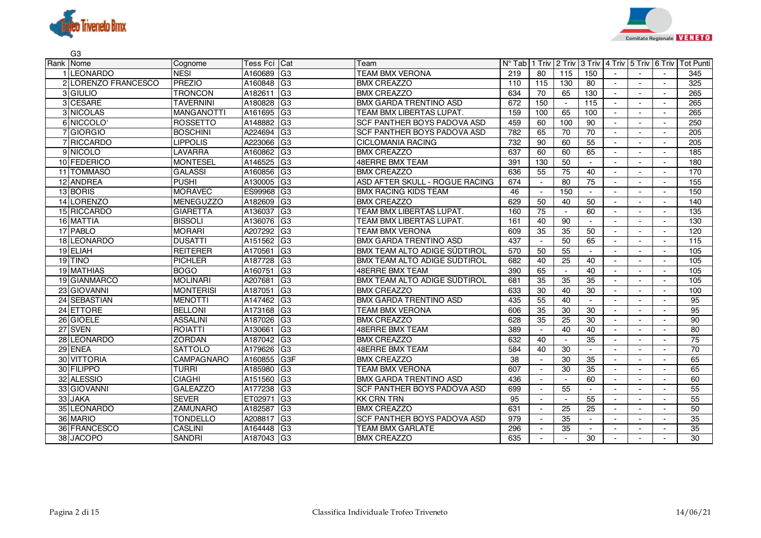



| G <sub>3</sub>      |                   |                 |                 |                                |                 |                          |                                           |                          |                          |                          |                          |                  |
|---------------------|-------------------|-----------------|-----------------|--------------------------------|-----------------|--------------------------|-------------------------------------------|--------------------------|--------------------------|--------------------------|--------------------------|------------------|
| Rank Nome           | Cognome           | <b>Tess Fci</b> | Cat             | Team                           | $N^{\circ}$ Tab |                          | 1 Triv 2 Triv 3 Triv 4 Triv 5 Triv 6 Triv |                          |                          |                          |                          | <b>Tot Punti</b> |
| <b>LEONARDO</b>     | <b>NESI</b>       | A160689         | G <sub>3</sub>  | <b>TEAM BMX VERONA</b>         | 219             | 80                       | 115                                       | 150                      |                          |                          |                          | 345              |
| 2 LORENZO FRANCESCO | <b>PREZIO</b>     | A160848         | G <sub>3</sub>  | <b>BMX CREAZZO</b>             | 110             | 115                      | 130                                       | $\overline{80}$          | $\overline{\phantom{a}}$ | $\overline{\phantom{a}}$ | $\sim$                   | 325              |
| 3 GIULIO            | <b>TRONCON</b>    | A182611         | lG3             | <b>BMX CREAZZO</b>             | 634             | 70                       | 65                                        | 130                      |                          | $\overline{a}$           | $\blacksquare$           | 265              |
| 3 CESARE            | <b>TAVERNINI</b>  | A180828         | G <sub>3</sub>  | <b>BMX GARDA TRENTINO ASD</b>  | 672             | 150                      | $\overline{\phantom{a}}$                  | 115                      |                          | $\overline{\phantom{a}}$ | $\overline{\phantom{a}}$ | 265              |
| 3 NICOLAS           | <b>MANGANOTTI</b> | A161695         | G3              | TEAM BMX LIBERTAS LUPAT.       | 159             | 100                      | 65                                        | 100                      |                          | $\overline{\phantom{a}}$ | $\overline{a}$           | 265              |
| 6 NICCOLO           | <b>ROSSETTO</b>   | A148882         | G <sub>3</sub>  | SCF PANTHER BOYS PADOVA ASD    | 459             | 60                       | 100                                       | 90                       | $\sim$                   | $\overline{\phantom{a}}$ | $\sim$                   | 250              |
| 7 GIORGIO           | <b>BOSCHINI</b>   | A224694         | G <sub>3</sub>  | SCF PANTHER BOYS PADOVA ASD    | 782             | 65                       | 70                                        | 70                       |                          | $\overline{a}$           | $\overline{\phantom{a}}$ | 205              |
| 7 RICCARDO          | <b>LIPPOLIS</b>   | A223066         | G <sub>3</sub>  | <b>CICLOMANIA RACING</b>       | 732             | 90                       | 60                                        | 55                       |                          |                          |                          | 205              |
| 9 NICOLO            | <b>LAVARRA</b>    | A160862         | G <sub>3</sub>  | <b>BMX CREAZZO</b>             | 637             | 60                       | 60                                        | 65                       |                          | $\sim$                   | $\sim$                   | 185              |
| 10 FEDERICO         | <b>MONTESEL</b>   | A146525         | G <sub>3</sub>  | <b>48ERRE BMX TEAM</b>         | 391             | 130                      | 50                                        | $\sim$                   | $\overline{\phantom{a}}$ | $\overline{\phantom{a}}$ | $\sim$                   | 180              |
| 11 TOMMASO          | <b>GALASSI</b>    | A160856         | G <sub>3</sub>  | <b>BMX CREAZZO</b>             | 636             | 55                       | $\overline{75}$                           | 40                       |                          | $\overline{a}$           | $\overline{a}$           | 170              |
| 12 ANDREA           | <b>PUSHI</b>      | A130005         | G <sub>3</sub>  | ASD AFTER SKULL - ROGUE RACING | 674             |                          | 80                                        | 75                       |                          | $\overline{\phantom{a}}$ | $\blacksquare$           | 155              |
| 13 BORIS            | <b>MORAVEC</b>    | ES99968         | G3              | <b>BMX RACING KIDS TEAM</b>    | 46              | $\overline{\phantom{a}}$ | 150                                       | $\sim$                   |                          | $\overline{a}$           | $\overline{a}$           | 150              |
| 14 LORENZO          | <b>MENEGUZZO</b>  | A182609         | G <sub>3</sub>  | <b>BMX CREAZZO</b>             | 629             | 50                       | 40                                        | 50                       |                          | $\overline{\phantom{a}}$ | $\sim$                   | 140              |
| 15 RICCARDO         | <b>GIARETTA</b>   | A136037         | G <sub>3</sub>  | TEAM BMX LIBERTAS LUPAT.       | 160             | 75                       | $\sim$                                    | 60                       |                          | $\overline{\phantom{a}}$ | $\overline{\phantom{a}}$ | 135              |
| 16 MATTIA           | <b>BISSOLI</b>    | A136076         | G3              | TEAM BMX LIBERTAS LUPAT.       | 161             | 40                       | 90                                        |                          |                          |                          | $\sim$                   | 130              |
| 17 PABLO            | <b>MORARI</b>     | A207292         | G <sub>3</sub>  | <b>TEAM BMX VERONA</b>         | 609             | 35                       | 35                                        | 50                       |                          | $\sim$                   | $\overline{a}$           | 120              |
| 18 LEONARDO         | <b>DUSATTI</b>    | A151562         | G <sub>3</sub>  | <b>BMX GARDA TRENTINO ASD</b>  | 437             | $\overline{\phantom{a}}$ | 50                                        | 65                       | $\blacksquare$           | $\overline{\phantom{a}}$ | $\sim$                   | 115              |
| 19 ELIAH            | <b>REITERER</b>   | A170561         | G <sub>3</sub>  | BMX TEAM ALTO ADIGE SÜDTIROL   | 570             | $\overline{50}$          | 55                                        | $\sim$                   |                          | $\overline{a}$           | $\overline{a}$           | 105              |
| 19 TINO             | <b>PICHLER</b>    | A187728         | G <sub>3</sub>  | BMX TEAM ALTO ADIGE SÜDTIROL   | 682             | 40                       | 25                                        | 40                       |                          | $\overline{\phantom{a}}$ | $\overline{\phantom{a}}$ | 105              |
| 19 MATHIAS          | <b>BOGO</b>       | A160751         | G <sub>3</sub>  | <b>48ERRE BMX TEAM</b>         | 390             | 65                       | $\sim$                                    | 40                       | $\overline{a}$           | $\overline{\phantom{a}}$ | $\blacksquare$           | 105              |
| 19 GIANMARCO        | <b>MOLINARI</b>   | A207681         | G <sub>3</sub>  | BMX TEAM ALTO ADIGE SÜDTIROL   | 681             | 35                       | 35                                        | 35                       |                          | $\overline{\phantom{a}}$ | $\overline{\phantom{0}}$ | 105              |
| 23 GIOVANNI         | <b>MONTERISI</b>  | A187051         | IG <sub>3</sub> | <b>BMX CREAZZO</b>             | 633             | 30                       | 40                                        | 30                       |                          | $\overline{\phantom{a}}$ | $\blacksquare$           | 100              |
| 24 SEBASTIAN        | <b>MENOTTI</b>    | A147462 G3      |                 | BMX GARDA TRENTINO ASD         | 435             | 55                       | 40                                        |                          |                          | $\overline{\phantom{a}}$ | $\overline{\phantom{a}}$ | 95               |
| 24 ETTORE           | <b>BELLONI</b>    | A173168         | G <sub>3</sub>  | <b>TEAM BMX VERONA</b>         | 606             | 35                       | 30                                        | 30                       |                          | $\sim$                   | $\overline{a}$           | 95               |
| 26 GIOELE           | <b>ASSALINI</b>   | A187026         | G <sub>3</sub>  | <b>BMX CREAZZO</b>             | 628             | 35                       | 25                                        | 30                       | $\overline{\phantom{a}}$ | $\overline{\phantom{a}}$ | $\blacksquare$           | 90               |
| 27 SVEN             | <b>ROIATTI</b>    | A130661         | lG3             | 48ERRE BMX TEAM                | 389             |                          | 40                                        | 40                       |                          | $\overline{a}$           | $\overline{\phantom{a}}$ | 80               |
| 28 LEONARDO         | <b>ZORDAN</b>     | A187042         | G <sub>3</sub>  | <b>BMX CREAZZO</b>             | 632             | 40                       | $\sim$                                    | 35                       |                          | $\overline{\phantom{a}}$ | $\blacksquare$           | 75               |
| 29 ENEA             | <b>SATTOLO</b>    | A179626         | G <sub>3</sub>  | <b>48ERRE BMX TEAM</b>         | 584             | 40                       | 30                                        | $\sim$                   |                          | $\overline{\phantom{a}}$ | $\blacksquare$           | 70               |
| 30 VITTORIA         | <b>CAMPAGNARO</b> | A160855         | G <sub>3F</sub> | <b>BMX CREAZZO</b>             | 38              | $\overline{\phantom{a}}$ | 30                                        | 35                       |                          | $\overline{\phantom{a}}$ | $\sim$                   | 65               |
| 30 FILIPPO          | <b>TURRI</b>      | A185980         | G <sub>3</sub>  | <b>TEAM BMX VERONA</b>         | 607             | $\overline{\phantom{a}}$ | 30                                        | 35                       |                          | $\overline{\phantom{a}}$ | $\blacksquare$           | 65               |
| 32 ALESSIO          | <b>CIAGHI</b>     | A151560         | G <sub>3</sub>  | BMX GARDA TRENTINO ASD         | 436             |                          | $\sim$                                    | 60                       |                          | $\overline{\phantom{a}}$ | $\sim$                   | 60               |
| 33 GIOVANNI         | <b>GALEAZZO</b>   | A177238         | G <sub>3</sub>  | SCF PANTHER BOYS PADOVA ASD    | 699             | $\overline{\phantom{a}}$ | 55                                        |                          |                          | $\sim$                   | $\overline{a}$           | 55               |
| 33 JAKA             | <b>SEVER</b>      | ET02971         | G <sub>3</sub>  | <b>KK CRN TRN</b>              | 95              | $\overline{\phantom{a}}$ | $\overline{\phantom{a}}$                  | 55                       |                          | $\overline{a}$           | $\overline{a}$           | 55               |
| 35 LEONARDO         | <b>ZAMUNARO</b>   | A182587         | G <sub>3</sub>  | <b>BMX CREAZZO</b>             | 631             |                          | 25                                        | 25                       |                          | $\overline{\phantom{a}}$ | $\overline{\phantom{a}}$ | 50               |
| 36 MARIO            | <b>TONDELLO</b>   | A208817         | G <sub>3</sub>  | SCF PANTHER BOYS PADOVA ASD    | 979             |                          | 35                                        | $\overline{\phantom{a}}$ |                          | $\overline{a}$           |                          | 35               |
| 36 FRANCESCO        | <b>CASLINI</b>    | A164448         | G <sub>3</sub>  | <b>TEAM BMX GARLATE</b>        | 296             |                          | 35                                        |                          |                          | $\blacksquare$           |                          | 35               |
| 38 JACOPO           | <b>SANDRI</b>     | A187043         | G <sub>3</sub>  | <b>BMX CREAZZO</b>             | 635             | $\overline{\phantom{a}}$ | $\sim$                                    | 30                       | $\overline{\phantom{a}}$ | $\overline{\phantom{a}}$ | $\overline{\phantom{a}}$ | 30               |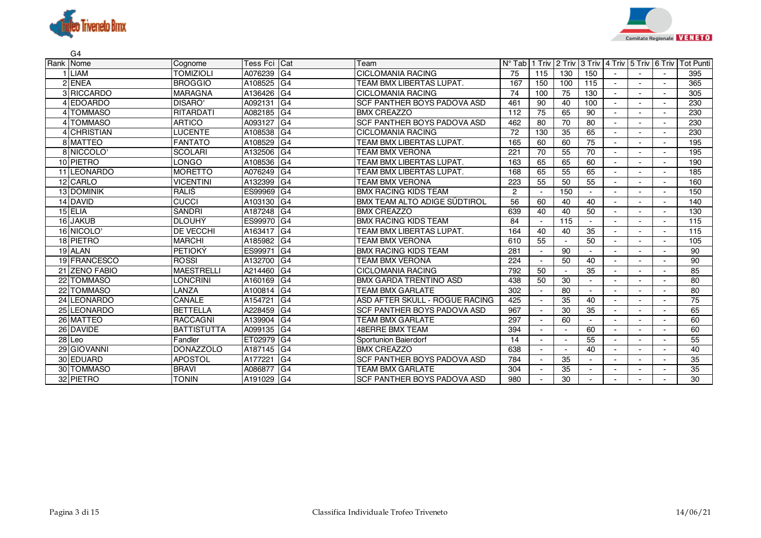



|      | G <sub>4</sub>  |                    |                 |                |                                |                 |                |                          |                             |        |                          |        |                  |
|------|-----------------|--------------------|-----------------|----------------|--------------------------------|-----------------|----------------|--------------------------|-----------------------------|--------|--------------------------|--------|------------------|
| Rank | <b>Nome</b>     | Cognome            | <b>Tess Fci</b> | Cat            | Team                           | $N^{\circ}$ Tab | 1 Triv         | 2 Triv                   | 3 Triv 4 Triv 5 Triv 6 Triv |        |                          |        | <b>Tot Punti</b> |
|      | <b>LIAM</b>     | <b>TOMIZIOLI</b>   | A076239         | G <sub>4</sub> | <b>CICLOMANIA RACING</b>       | 75              | 115            | 130                      | 150                         |        |                          |        | 395              |
|      | 2 ENEA          | <b>BROGGIO</b>     | A108525         | G <sub>4</sub> | TEAM BMX LIBERTAS LUPAT.       | 167             | 150            | 100                      | 115                         | $\sim$ | $\blacksquare$           |        | 365              |
|      | 3 RICCARDO      | <b>MARAGNA</b>     | A136426         | G <sub>4</sub> | <b>CICLOMANIA RACING</b>       | 74              | 100            | 75                       | 130                         |        |                          |        | 305              |
|      | <b>EDOARDO</b>  | DISARO'            | A092131         | G <sub>4</sub> | SCF PANTHER BOYS PADOVA ASD    | 461             | 90             | 40                       | 100                         |        |                          |        | 230              |
|      | 4 TOMMASO       | <b>RITARDATI</b>   | A082185         | G <sub>4</sub> | <b>BMX CREAZZO</b>             | 112             | 75             | 65                       | 90                          |        |                          |        | 230              |
|      | 4 TOMMASO       | <b>ARTICO</b>      | A093127         | G <sub>4</sub> | SCF PANTHER BOYS PADOVA ASD    | 462             | 80             | 70                       | 80                          |        |                          |        | 230              |
|      | 4 CHRISTIAN     | <b>LUCENTE</b>     | A108538         | G <sub>4</sub> | <b>CICLOMANIA RACING</b>       | 72              | 130            | 35                       | 65                          |        | $\overline{\phantom{a}}$ |        | 230              |
|      | 8 MATTEO        | <b>FANTATO</b>     | A108529         | G <sub>4</sub> | TEAM BMX LIBERTAS LUPAT.       | 165             | 60             | 60                       | 75                          |        |                          |        | 195              |
|      | 8 NICCOLO       | <b>SCOLARI</b>     | A132506         | G <sub>4</sub> | TEAM BMX VERONA                | 221             | 70             | 55                       | 70                          |        |                          |        | 195              |
|      | 10 PIETRO       | <b>LONGO</b>       | A108536         | G <sub>4</sub> | TEAM BMX LIBERTAS LUPAT        | 163             | 65             | 65                       | 60                          | $\sim$ |                          |        | 190              |
|      | 11 LEONARDO     | <b>MORETTO</b>     | A076249         | G <sub>4</sub> | TEAM BMX LIBERTAS LUPAT.       | 168             | 65             | 55                       | 65                          |        |                          |        | 185              |
|      | 12 CARLO        | <b>VICENTINI</b>   | A132399         | G4             | <b>TEAM BMX VERONA</b>         | 223             | 55             | 50                       | 55                          |        |                          |        | 160              |
|      | 13 DOMINIK      | RÁLIŠ              | ES99969         | G <sub>4</sub> | <b>BMX RACING KIDS TEAM</b>    | $\overline{2}$  |                | 150                      |                             |        |                          |        | 150              |
|      | 14 DAVID        | <b>CUCCI</b>       | A103130         | G <sub>4</sub> | BMX TEAM ALTO ADIGE SÜDTIROL   | 56              | 60             | 40                       | 40                          |        |                          |        | 140              |
|      | 15 ELIA         | <b>SANDRI</b>      | A187248         | G <sub>4</sub> | <b>BMX CREAZZO</b>             | 639             | 40             | 40                       | 50                          |        |                          |        | 130              |
|      | 16 JAKUB        | <b>DLOUHÝ</b>      | ES99970         | G <sub>4</sub> | <b>BMX RACING KIDS TEAM</b>    | 84              |                | 115                      |                             |        |                          |        | 115              |
|      | 16 NICOLO'      | <b>DE VECCHI</b>   | A163417         | G <sub>4</sub> | TEAM BMX LIBERTAS LUPAT.       | 164             | 40             | 40                       | 35                          |        | $\overline{\phantom{a}}$ |        | 115              |
|      | 18 PIETRO       | <b>MARCHI</b>      | A185982         | G4             | <b>TEAM BMX VERONA</b>         | 610             | 55             |                          | 50                          |        |                          |        | 105              |
|      | 19 ALAN         | <b>PETIOKÝ</b>     | ES99971         | G4             | <b>BMX RACING KIDS TEAM</b>    | 281             |                | 90                       |                             |        |                          |        | 90               |
|      | 19 FRANCESCO    | <b>ROSSI</b>       | A132700         | G <sub>4</sub> | TEAM BMX VERONA                | 224             |                | 50                       | 40                          |        |                          |        | 90               |
|      | 21 ZENO FABIO   | <b>MAESTRELLI</b>  | A214460         | G <sub>4</sub> | <b>CICLOMANIA RACING</b>       | 792             | 50             | $\blacksquare$           | 35                          |        |                          |        | 85               |
|      | 22 TOMMASO      | <b>LONCRINI</b>    | A160169         | G <sub>4</sub> | <b>BMX GARDA TRENTINO ASD</b>  | 438             | 50             | 30                       | $\sim$                      | $\sim$ | $\blacksquare$           | $\sim$ | 80               |
|      | 22 TOMMASO      | LANZA              | A100814         | G <sub>4</sub> | <b>TEAM BMX GARLATE</b>        | 302             |                | 80                       |                             |        |                          |        | 80               |
|      | 24 LEONARDO     | CANALE             | A154721         | G <sub>4</sub> | ASD AFTER SKULL - ROGUE RACING | 425             |                | 35                       | 40                          |        |                          |        | 75               |
|      | 25 LEONARDO     | <b>BETTELLA</b>    | A228459         | G <sub>4</sub> | SCF PANTHER BOYS PADOVA ASD    | 967             |                | 30                       | 35                          |        |                          |        | 65               |
|      | 26 MATTEO       | <b>RACCAGNI</b>    | A139904         | G <sub>4</sub> | <b>TEAM BMX GARLATE</b>        | 297             |                | 60                       | $\sim$                      |        | $\overline{\phantom{a}}$ |        | 60               |
|      | 26 DAVIDE       | <b>BATTISTUTTA</b> | A099135         | G <sub>4</sub> | <b>48ERRE BMX TEAM</b>         | 394             | $\blacksquare$ | $\sim$                   | 60                          |        |                          |        | 60               |
|      | $28$ Leo        | Fandler            | ET02979         | G4             | Sportunion Baierdorf           | 14              |                | $\overline{\phantom{a}}$ | 55                          |        |                          |        | 55               |
| 29   | <b>GIOVANNI</b> | <b>DONAZZOLO</b>   | A187145         | G <sub>4</sub> | <b>BMX CREAZZO</b>             | 638             |                | $\blacksquare$           | 40                          |        |                          |        | 40               |
|      | 30 EDUARD       | <b>APOSTOL</b>     | A177221         | G <sub>4</sub> | SCF PANTHER BOYS PADOVA ASD    | 784             |                | 35                       | $\sim$                      |        |                          |        | 35               |
|      | 30 TOMMASO      | <b>BRAVI</b>       | A086877         | G <sub>4</sub> | <b>TEAM BMX GARLATE</b>        | 304             |                | 35                       |                             |        |                          |        | 35               |
|      | 32 PIETRO       | <b>TONIN</b>       | A191029         | IG4            | SCF PANTHER BOYS PADOVA ASD    | 980             |                | 30                       |                             |        |                          |        | 30               |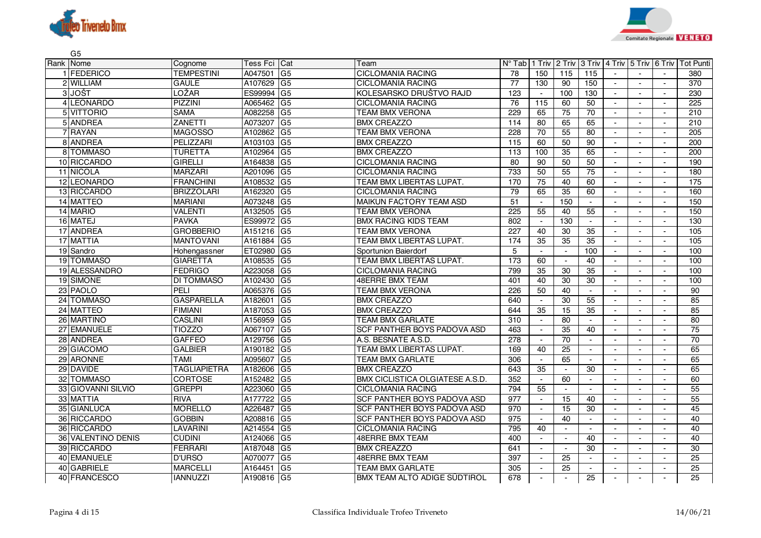



| G <sub>5</sub>     |                     |          |                |                                        |                  |                          |                          |                             |                          |                          |                          |                  |
|--------------------|---------------------|----------|----------------|----------------------------------------|------------------|--------------------------|--------------------------|-----------------------------|--------------------------|--------------------------|--------------------------|------------------|
| Rank Nome          | Cognome             | Tess Fci | Cat            | Team                                   | $N^{\circ}$ Tab  | 1 Triv                   | 2 Triv                   | 3 Triv                      | 4 Triv 5 Triv 6 Triv     |                          |                          | <b>Tot Punti</b> |
| <b>IFEDERICO</b>   | <b>TEMPESTINI</b>   | A047501  | G <sub>5</sub> | <b>CICLOMANIA RACING</b>               | 78               | 150                      | 115                      | 115                         |                          |                          |                          | 380              |
| 2 WILLIAM          | <b>GAULE</b>        | A107629  | G <sub>5</sub> | <b>CICLOMANIA RACING</b>               | $\overline{77}$  | 130                      | 90                       | 150                         |                          |                          | $\sim$                   | $\overline{370}$ |
| 3 JOŠT             | LOŽAR               | ES99994  | G <sub>5</sub> | KOLESARSKO DRUŠTVO RAJD                | $\overline{123}$ | $\sim$                   | 100                      | 130                         | $\sim$                   | $\overline{a}$           | $\blacksquare$           | 230              |
| 4 LEONARDO         | PIZZINI             | A065462  | G <sub>5</sub> | <b>CICLOMANIA RACING</b>               | 76               | 115                      | 60                       | 50                          | $\blacksquare$           |                          | $\blacksquare$           | 225              |
| 5 VITTORIO         | <b>SAMA</b>         | A082258  | G <sub>5</sub> | TEAM BMX VERONA                        | 229              | 65                       | 75                       | $\overline{70}$             | $\overline{\phantom{a}}$ | $\overline{\phantom{a}}$ | $\overline{a}$           | 210              |
| 5 ANDREA           | ZANETTI             | A073207  | G <sub>5</sub> | <b>BMX CREAZZO</b>                     | 114              | 80                       | 65                       | 65                          |                          |                          | $\sim$                   | 210              |
| 7 RAYAN            | <b>MAGOSSO</b>      | A102862  | G <sub>5</sub> | <b>TEAM BMX VERONA</b>                 | 228              | 70                       | 55                       | 80                          | $\mathbf{r}$             | $\overline{\phantom{a}}$ | $\sim$                   | 205              |
| 8 ANDREA           | PELIZZARI           | A103103  | G <sub>5</sub> | <b>BMX CREAZZO</b>                     | 115              | 60                       | 50                       | 90                          | $\blacksquare$           |                          | $\blacksquare$           | 200              |
| 8 TOMMASO          | <b>TURETTA</b>      | A102964  | G <sub>5</sub> | <b>BMX CREAZZO</b>                     | 113              | 100                      | 35                       | 65                          |                          |                          | $\sim$                   | 200              |
| 10 RICCARDO        | <b>GIRELLI</b>      | A164838  | G <sub>5</sub> | <b>CICLOMANIA RACING</b>               | 80               | 90                       | 50                       | 50                          | $\blacksquare$           | $\sim$                   | $\sim$                   | 190              |
| 11 NICOLA          | <b>MARZARI</b>      | A201096  | G <sub>5</sub> | <b>CICLOMANIA RACING</b>               | 733              | 50                       | 55                       | $\overline{75}$             | $\mathbf{r}$             | $\overline{\phantom{a}}$ | $\sim$                   | 180              |
| 12 LEONARDO        | <b>FRANCHINI</b>    | A108532  | G <sub>5</sub> | TEAM BMX LIBERTAS LUPAT.               | 170              | 75                       | 40                       | 60                          |                          |                          | $\sim$                   | 175              |
| 13 RICCARDO        | <b>BRIZZOLARI</b>   | A162320  | G <sub>5</sub> | <b>CICLOMANIA RACING</b>               | 79               | 65                       | 35                       | 60                          | $\sim$                   | $\sim$                   | $\blacksquare$           | 160              |
| 14 MATTEO          | <b>MARIANI</b>      | A073248  | G <sub>5</sub> | <b>MAIKUN FACTORY TEAM ASD</b>         | 51               | $\sim$                   | 150                      | $\sim$                      | $\blacksquare$           |                          | $\blacksquare$           | 150              |
| 14 MARIO           | VALENTI             | A132505  | G <sub>5</sub> | <b>TEAM BMX VERONA</b>                 | 225              | 55                       | 40                       | 55                          | $\sim$                   | $\sim$                   | $\sim$                   | 150              |
| 16 MATEJ           | <b>PAVKA</b>        | ES99972  | G <sub>5</sub> | <b>BMX RACING KIDS TEAM</b>            | 802              | $\overline{\phantom{a}}$ | 130                      | $\sim$                      |                          |                          | $\sim$                   | 130              |
| 17 ANDREA          | <b>GROBBERIO</b>    | A151216  | G <sub>5</sub> | TEAM BMX VERONA                        | 227              | 40                       | 30                       | 35                          | $\blacksquare$           |                          | $\blacksquare$           | 105              |
| 17 MATTIA          | <b>MANTOVANI</b>    | A161884  | G <sub>5</sub> | TEAM BMX LIBERTAS LUPAT.               | 174              | 35                       | 35                       | $\overline{35}$             | $\sim$                   | $\blacksquare$           | $\overline{\phantom{a}}$ | 105              |
| 19 Sandro          | Hohengassner        | ET02980  | G <sub>5</sub> | Sportunion Baierdorf                   | 5                | $\sim$                   | $\mathcal{L}$            | 100                         | $\overline{\phantom{a}}$ | $\overline{a}$           | $\sim$                   | 100              |
| 19 TOMMASO         | <b>GIARETTA</b>     | A108535  | G <sub>5</sub> | TEAM BMX LIBERTAS LUPAT.               | 173              | 60                       | $\blacksquare$           | 40                          | $\blacksquare$           | $\blacksquare$           | $\blacksquare$           | 100              |
| 19 ALESSANDRO      | <b>FEDRIGO</b>      | A223058  | G <sub>5</sub> | <b>CICLOMANIA RACING</b>               | 799              | $\overline{35}$          | 30                       | $\overline{35}$             |                          |                          | $\blacksquare$           | 100              |
| 19 SIMONE          | <b>DI TOMMASO</b>   | A102430  | G <sub>5</sub> | <b>48ERRE BMX TEAM</b>                 | 401              | 40                       | 30                       | 30                          |                          |                          |                          | 100              |
| 23 PAOLO           | <b>PELI</b>         | A065376  | G <sub>5</sub> | <b>TEAM BMX VERONA</b>                 | 226              | 50                       | 40                       | $\mathcal{L}_{\mathcal{A}}$ | $\sim$                   | $\sim$                   | $\sim$                   | 90               |
| 24 TOMMASO         | <b>GASPARELLA</b>   | A182601  | G <sub>5</sub> | <b>BMX CREAZZO</b>                     | 640              | $\sim$                   | 30                       | 55                          | $\blacksquare$           |                          | $\blacksquare$           | 85               |
| 24 MATTEO          | <b>FIMIANI</b>      | A187053  | G <sub>5</sub> | <b>BMX CREAZZO</b>                     | 644              | $\overline{35}$          | $\overline{15}$          | $\overline{35}$             | $\sim$                   | $\blacksquare$           | $\sim$                   | 85               |
| 26 MARTINO         | <b>CASLINI</b>      | A156959  | G <sub>5</sub> | <b>TEAM BMX GARLATE</b>                | 310              | $\sim$                   | 80                       | $\sim$                      |                          |                          | $\blacksquare$           | 80               |
| 27 EMANUELE        | <b>TIOZZO</b>       | A067107  | G <sub>5</sub> | SCF PANTHER BOYS PADOVA ASD            | 463              | $\blacksquare$           | 35                       | 40                          | $\blacksquare$           |                          | $\blacksquare$           | $\overline{75}$  |
| 28 ANDREA          | <b>GAFFEO</b>       | A129756  | G <sub>5</sub> | A.S. BESNATE A.S.D.                    | $\overline{278}$ | $\sim$                   | $\overline{70}$          | $\overline{\phantom{a}}$    | $\blacksquare$           | $\overline{\phantom{a}}$ | $\overline{\phantom{a}}$ | 70               |
| 29 GIACOMO         | <b>GALBIER</b>      | A190182  | G <sub>5</sub> | TEAM BMX LIBERTAS LUPAT.               | 169              | 40                       | 25                       | $\sim$                      |                          |                          | $\sim$                   | 65               |
| 29 ARONNE          | TAMI                | A095607  | G <sub>5</sub> | <b>TEAM BMX GARLATE</b>                | 306              | $\overline{\phantom{a}}$ | 65                       | $\sim$                      | $\blacksquare$           | $\blacksquare$           | $\blacksquare$           | 65               |
| 29 DAVIDE          | <b>TAGLIAPIETRA</b> | A182606  | G <sub>5</sub> | <b>BMX CREAZZO</b>                     | 643              | 35                       | $\overline{\phantom{a}}$ | 30                          |                          |                          | $\blacksquare$           | 65               |
| 32 TOMMASO         | <b>CORTOSE</b>      | A152482  | G <sub>5</sub> | <b>BMX CICLISTICA OLGIATESE A.S.D.</b> | 352              | $\overline{\phantom{a}}$ | 60                       | $\mathbf{r}$                |                          |                          | $\sim$                   | 60               |
| 33 GIOVANNI SILVIO | <b>GREPPI</b>       | A223060  | G <sub>5</sub> | <b>CICLOMANIA RACING</b>               | 794              | 55                       | $\sim$                   | $\sim$                      | $\sim$                   | $\sim$                   | $\blacksquare$           | 55               |
| 33 MATTIA          | <b>RIVA</b>         | A177722  | G <sub>5</sub> | SCF PANTHER BOYS PADOVA ASD            | 977              | $\sim$                   | 15                       | 40                          |                          |                          | $\blacksquare$           | 55               |
| 35 GIANLUCA        | <b>MORELLO</b>      | A226487  | G <sub>5</sub> | SCF PANTHER BOYS PADOVA ASD            | 970              | $\overline{\phantom{a}}$ | 15                       | 30                          |                          |                          | $\sim$                   | 45               |
| 36 RICCARDO        | <b>GOBBIN</b>       | A208816  | G <sub>5</sub> | SCF PANTHER BOYS PADOVA ASD            | 975              | $\overline{\phantom{a}}$ | 40                       | $\sim$                      | $\sim$                   | $\sim$                   | $\overline{\phantom{a}}$ | 40               |
| 36 RICCARDO        | LAVARINI            | A214554  | G <sub>5</sub> | CICLOMANIA RACING                      | 795              | 40                       | $\blacksquare$           | $\sim$                      | $\sim$                   | $\blacksquare$           | $\sim$                   | 40               |
| 36 VALENTINO DENIS | <b>CUDINI</b>       | A124066  | G <sub>5</sub> | <b>48ERRE BMX TEAM</b>                 | 400              | $\overline{\phantom{a}}$ | $\blacksquare$           | 40                          | $\overline{\phantom{a}}$ | $\overline{\phantom{a}}$ | $\sim$                   | 40               |
| 39 RICCARDO        | FERRARI             | A187048  | G <sub>5</sub> | <b>BMX CREAZZO</b>                     | 641              |                          | $\overline{\phantom{a}}$ | 30                          |                          |                          | $\blacksquare$           | 30               |
| 40 EMANUELE        | <b>D'URSO</b>       | A070077  | G <sub>5</sub> | <b>48ERRE BMX TEAM</b>                 | 397              |                          | $\overline{25}$          | $\sim$                      | $\blacksquare$           |                          | $\blacksquare$           | $\overline{25}$  |
| 40 GABRIELE        | <b>MARCELLI</b>     | A164451  | G <sub>5</sub> | TEAM BMX GARLATE                       | 305              | $\blacksquare$           | 25                       | $\sim$                      | $\blacksquare$           | $\overline{a}$           | $\overline{\phantom{a}}$ | $\overline{25}$  |
| 40 FRANCESCO       | <b>IANNUZZI</b>     | A190816  | G <sub>5</sub> | <b>BMX TEAM ALTO ADIGE SÜDTIROL</b>    | 678              | $\blacksquare$           | $\overline{a}$           | 25                          | $\overline{\phantom{a}}$ | $\overline{\phantom{a}}$ | $\sim$                   | 25               |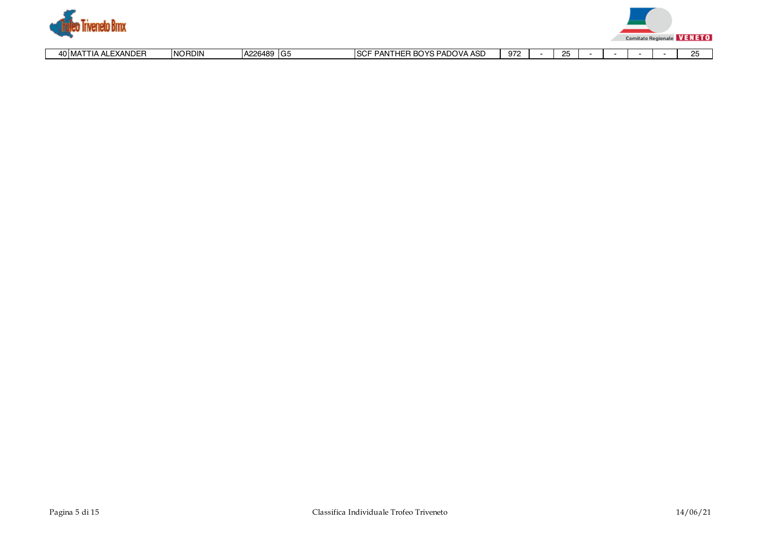



|  |  | <b>IDED</b><br>40 MA<br>ΔI Γ<br>∵ ⊏XAND∟.<br>٦Δ<br>- | <b>INORDIN</b> | A226489<br>IA. | ` IG5 | YS PADOVA ASD<br><b>ROVS</b><br>$\sim$ 100 $\sim$<br>$\overline{1}$<br><b>DANT</b><br><b>AIV</b><br>AOL.<br>11.<br>. טט<br>. | 972 |  | $\sim$ |  |  |  |  | ົ້ |
|--|--|------------------------------------------------------|----------------|----------------|-------|------------------------------------------------------------------------------------------------------------------------------|-----|--|--------|--|--|--|--|----|
|--|--|------------------------------------------------------|----------------|----------------|-------|------------------------------------------------------------------------------------------------------------------------------|-----|--|--------|--|--|--|--|----|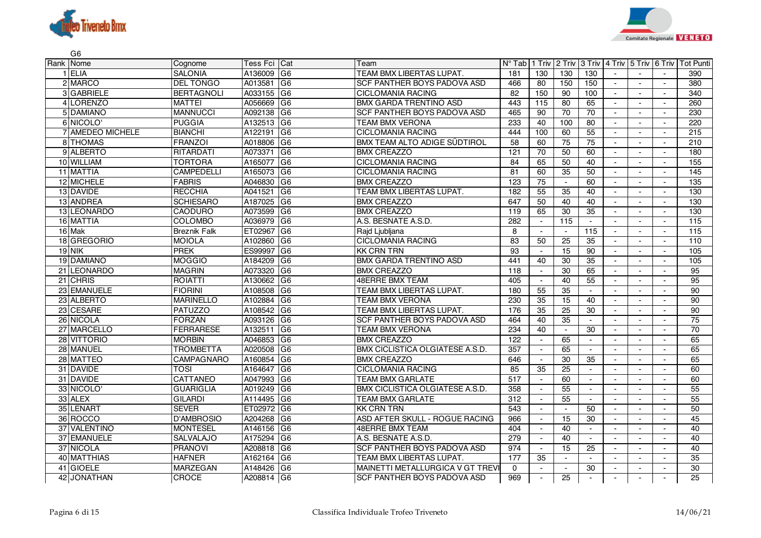



| G <sub>6</sub>   |                     |            |                 |                                        |                 |                          |                 |                 |                |                          |                |                  |
|------------------|---------------------|------------|-----------------|----------------------------------------|-----------------|--------------------------|-----------------|-----------------|----------------|--------------------------|----------------|------------------|
| Rank Nome        | Cognome             | Tess Fci   | Cat             | Team                                   | $N^{\circ}$ Tab | 1 Triv                   | 2 Triv          | 3 Triv          |                | 4 Triv 5 Triv 6 Triv     |                | <b>Tot Punti</b> |
| 1 ELIA           | <b>SALONIA</b>      | A136009    | G <sub>6</sub>  | TEAM BMX LIBERTAS LUPAT.               | 181             | 130                      | 130             | 130             |                |                          |                | 390              |
| 2 MARCO          | <b>DEL TONGO</b>    | A013581    | G <sub>6</sub>  | SCF PANTHER BOYS PADOVA ASD            | 466             | 80                       | 150             | 150             |                |                          | $\blacksquare$ | 380              |
| 3 GABRIELE       | <b>BERTAGNOLI</b>   | A033155    | G <sub>6</sub>  | <b>CICLOMANIA RACING</b>               | 82              | 150                      | 90              | 100             | $\mathbf{r}$   | $\sim$                   | $\sim$         | 340              |
| 4LORENZO         | <b>MATTEI</b>       | A056669    | IG6             | <b>BMX GARDA TRENTINO ASD</b>          | 443             | 115                      | 80              | 65              | $\blacksquare$ |                          |                | 260              |
| 5 DAMIANO        | <b>MANNUCCI</b>     | A092138    | G6              | SCF PANTHER BOYS PADOVA ASD            | 465             | 90                       | $\overline{70}$ | 70              | $\sim$         | $\sim$                   | $\overline{a}$ | 230              |
| 6 NICOLO'        | <b>PUGGIA</b>       | A132513    | IG <sub>6</sub> | TEAM BMX VERONA                        | 233             | 40                       | 100             | 80              |                |                          |                | 220              |
| 7 AMEDEO MICHELE | <b>BIANCHI</b>      | A122191    | IG6             | <b>CICLOMANIA RACING</b>               | 444             | 100                      | 60              | 55              | $\sim$         | $\blacksquare$           | $\sim$         | 215              |
| 8 THOMAS         | <b>FRANZOI</b>      | A018806    | G6              | BMX TEAM ALTO ADIGE SÜDTIROL           | 58              | 60                       | 75              | 75              | $\sim$         | $\blacksquare$           | $\blacksquare$ | 210              |
| 9 ALBERTO        | <b>RITARDATI</b>    | A073371    | G <sub>6</sub>  | <b>BMX CREAZZO</b>                     | 121             | 70                       | 50              | 60              | $\sim$         |                          |                | 180              |
| 10 WILLIAM       | <b>TORTORA</b>      | A165077    | IG6             | <b>CICLOMANIA RACING</b>               | $\overline{84}$ | 65                       | 50              | 40              | $\blacksquare$ | $\sim$                   | $\sim$         | 155              |
| 11 MATTIA        | <b>CAMPEDELLI</b>   | A165073    | IG6             | <b>CICLOMANIA RACING</b>               | 81              | 60                       | 35              | 50              | $\sim$         | $\overline{a}$           | $\blacksquare$ | 145              |
| 12 MICHELE       | <b>FABRIS</b>       | A046830    | G <sub>6</sub>  | <b>BMX CREAZZO</b>                     | 123             | 75                       | $\blacksquare$  | 60              |                |                          | $\sim$         | 135              |
| 13 DAVIDE        | <b>RECCHIA</b>      | A041521    | IG6             | TEAM BMX LIBERTAS LUPAT.               | 182             | 55                       | $\overline{35}$ | 40              | $\blacksquare$ | $\sim$                   | $\sim$         | 130              |
| 13 ANDREA        | <b>SCHIESARO</b>    | A187025    | G <sub>6</sub>  | <b>BMX CREAZZO</b>                     | 647             | 50                       | 40              | 40              | $\sim$         |                          | $\sim$         | 130              |
| 13 LEONARDO      | <b>CAODURO</b>      | A073599    | G6              | <b>BMX CREAZZO</b>                     | 119             | 65                       | 30              | 35              | $\sim$         | $\blacksquare$           | $\blacksquare$ | 130              |
| 16 MATTIA        | <b>COLOMBO</b>      | A036979    | G <sub>6</sub>  | A.S. BESNATE A.S.D                     | 282             | $\sim$                   | 115             | $\sim$          | $\sim$         | $\overline{a}$           | $\overline{a}$ | 115              |
| 16 Mak           | <b>Breznik Falk</b> | ET02967    | G <sub>6</sub>  | Rajd Ljubljana                         | 8               |                          | $\blacksquare$  | 115             | $\blacksquare$ | $\blacksquare$           | $\blacksquare$ | 115              |
| 18 GREGORIO      | <b>MOIOLA</b>       | A102860    | G6              | <b>CICLOMANIA RACING</b>               | 83              | 50                       | 25              | $\overline{35}$ | $\sim$         | $\sim$                   | $\sim$         | 110              |
| $19$ NIK         | <b>PREK</b>         | ES99997    | G <sub>6</sub>  | <b>KK CRN TRN</b>                      | 93              | $\overline{\phantom{a}}$ | $\overline{15}$ | 90              |                |                          | $\sim$         | 105              |
| 19 DAMIANO       | <b>MOGGIO</b>       | A184209    | G <sub>6</sub>  | <b>BMX GARDA TRENTINO ASD</b>          | 441             | 40                       | 30              | $\overline{35}$ | $\blacksquare$ | $\sim$                   | $\sim$         | 105              |
| 21 LEONARDO      | <b>MAGRIN</b>       | A073320    | G <sub>6</sub>  | <b>BMX CREAZZO</b>                     | 118             | $\blacksquare$           | 30              | 65              |                | $\blacksquare$           |                | $\overline{95}$  |
| 21 CHRIS         | <b>ROIATTI</b>      | A130662    | G6              | <b>48ERRE BMX TEAM</b>                 | 405             | $\sim$                   | 40              | $\overline{55}$ | $\sim$         |                          |                | 95               |
| 23 EMANUELE      | <b>FIORINI</b>      | A108508    | G <sub>6</sub>  | TEAM BMX LIBERTAS LUPAT                | 180             | 55                       | 35              | $\sim$          | $\sim$         | $\sim$                   | $\sim$         | 90               |
| 23 ALBERTO       | <b>MARINELLO</b>    | A102884    | G <sub>6</sub>  | TEAM BMX VERONA                        | 230             | 35                       | 15              | 40              |                |                          |                | 90               |
| 23 CESARE        | <b>PATUZZO</b>      | A108542    | G <sub>6</sub>  | TEAM BMX LIBERTAS LUPAT.               | 176             | 35                       | 25              | $\overline{30}$ | $\sim$         | $\blacksquare$           | $\blacksquare$ | 90               |
| 26 NICOLA        | <b>FORZAN</b>       | A093126    | G6              | <b>SCF PANTHER BOYS PADOVA ASD</b>     | 464             | 40                       | $\overline{35}$ | $\sim$          |                | $\blacksquare$           | $\blacksquare$ | $\overline{75}$  |
| 27 MARCELLO      | <b>FERRARESE</b>    | A132511    | IG6             | <b>TEAM BMX VERONA</b>                 | 234             | 40                       | $\blacksquare$  | 30              |                |                          | $\blacksquare$ | 70               |
| 28 VITTORIO      | <b>MORBIN</b>       | A046853    | IG6             | <b>BMX CREAZZO</b>                     | 122             | $\overline{\phantom{a}}$ | 65              | $\sim$          | $\sim$         | $\overline{\phantom{a}}$ | $\blacksquare$ | 65               |
| 28 MANUEL        | TROMBETTA           | A020508    | G6              | <b>BMX CICLISTICA OLGIATESE A.S.D.</b> | 357             |                          | 65              |                 |                |                          |                | 65               |
| 28 MATTEO        | CAMPAGNARO          | A160854    | G <sub>6</sub>  | <b>BMX CREAZZO</b>                     | 646             | $\overline{\phantom{a}}$ | 30              | 35              | $\blacksquare$ | $\blacksquare$           | $\blacksquare$ | 65               |
| 31 DAVIDE        | TOSI                | A164647    | IG6             | <b>CICLOMANIA RACING</b>               | 85              | 35                       | 25              | $\sim$          |                | $\blacksquare$           | $\blacksquare$ | 60               |
| 31 DAVIDE        | <b>CATTANEO</b>     | A047993    | G6              | TEAM BMX GARLATE                       | 517             | $\sim$                   | 60              | $\sim$          |                |                          |                | 60               |
| 33 NICOLO'       | <b>GUARIGLIA</b>    | A019249    | IG6             | <b>BMX CICLISTICA OLGIATESE A.S.D.</b> | 358             | $\blacksquare$           | 55              | $\sim$          | $\mathbf{r}$   | $\sim$                   | $\sim$         | 55               |
| 33 ALEX          | <b>GILARDI</b>      | A114495    | IG6             | TEAM BMX GARLATE                       | 312             | $\sim$                   | 55              | $\sim$          |                |                          |                | 55               |
| 35 LENART        | <b>SEVER</b>        | ET02972 G6 |                 | <b>KK CRN TRN</b>                      | 543             |                          | $\blacksquare$  | 50              |                |                          |                | 50               |
| 36 ROCCO         | D'AMBROSIO          | A204268    | IG6             | ASD AFTER SKULL - ROGUE RACING         | 966             | $\overline{\phantom{a}}$ | 15              | 30              | $\sim$         | $\overline{\phantom{a}}$ | $\blacksquare$ | 45               |
| 37 VALENTINO     | <b>MONTESEL</b>     | A146156    | IG6             | <b>48ERRE BMX TEAM</b>                 | 404             | $\blacksquare$           | 40              | $\sim$          | $\sim$         | $\blacksquare$           | $\blacksquare$ | 40               |
| 37 EMANUELE      | <b>SALVALAJO</b>    | A175294    | G6              | A.S. BESNATE A.S.D.                    | 279             | $\overline{\phantom{a}}$ | 40              | $\sim$          | $\sim$         | $\overline{\phantom{a}}$ | $\blacksquare$ | 40               |
| 37 NICOLA        | <b>PRANOVI</b>      | A208818    | G6              | SCF PANTHER BOYS PADOVA ASD            | 974             | $\blacksquare$           | 15              | 25              | $\sim$         |                          |                | 40               |
| 40 MATTHIAS      | <b>HAFNER</b>       | A162164    | IG6             | TEAM BMX LIBERTAS LUPAT                | 177             | 35                       | $\blacksquare$  |                 | $\sim$         |                          |                | 35               |
| 41 GIOELE        | <b>MARZEGAN</b>     | A148426    | IG6             | MAINETTI METALLURGICA V GT TREVI       | $\mathbf 0$     | $\blacksquare$           | $\blacksquare$  | 30              |                | $\overline{\phantom{a}}$ |                | 30               |
| 42 JONATHAN      | <b>CROCE</b>        | A208814 G6 |                 | <b>SCF PANTHER BOYS PADOVA ASD</b>     | 969             | $\blacksquare$           | 25              |                 |                | $\overline{\phantom{a}}$ |                | 25               |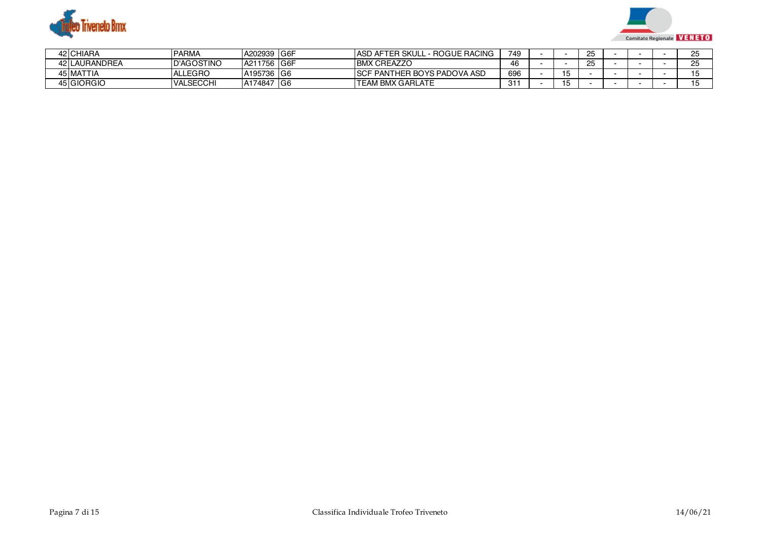



| 42 CHIARA     | PARMA             | A202939     | ⊦IG6F | - - ROGUE RACING<br><b>IASD AFTER SKULL</b> | 749 |    | OE<br>∠ς |  | $\sim$        |
|---------------|-------------------|-------------|-------|---------------------------------------------|-----|----|----------|--|---------------|
| 42 LAURANDREA | <b>D'AGOSTINO</b> | A211756 G6F |       | <b>BMX CREAZZO</b>                          | 46  |    | OE<br>۷٥ |  | $\sim$ $\sim$ |
| 45 MATTIA     | <b>ALLEGRO</b>    | A195736 G6  |       | <b>ISCF PANTHER BOYS PADOVA ASD</b>         | 696 | '~ |          |  |               |
| 45 GIORGIO    | <b>VALSECCHI</b>  | A174847     | ≐lG6  | <b>TEAM BMX GARLATE</b>                     | 31  | ີ  |          |  |               |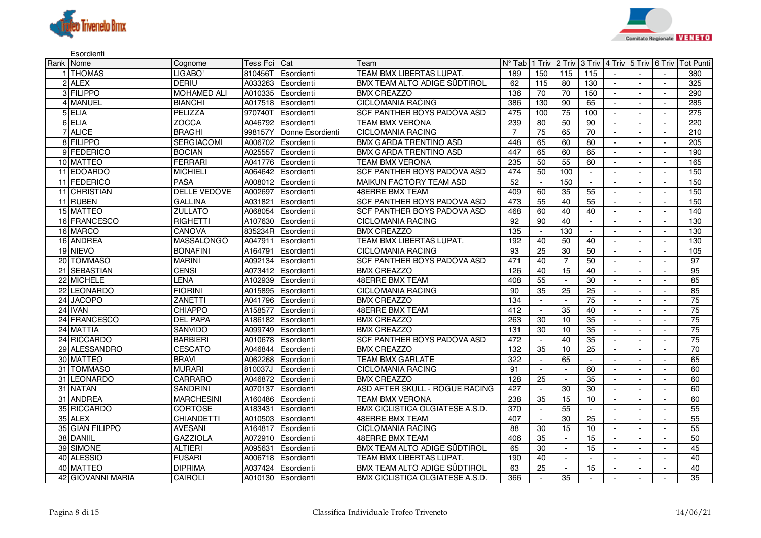



Esordienti

| Rank Nome         | Cognome             | Tess Fci Cat |                     | Team                            |                 |                          |                             |                 |                          |                |                          | N° Tab   1 Triv   2 Triv   3 Triv   4 Triv   5 Triv   6 Triv   Tot Punti |
|-------------------|---------------------|--------------|---------------------|---------------------------------|-----------------|--------------------------|-----------------------------|-----------------|--------------------------|----------------|--------------------------|--------------------------------------------------------------------------|
| 1 THOMAS          | LIGABO'             | 810456T      | Esordienti          | TEAM BMX LIBERTAS LUPAT.        | 189             | 150                      | 115                         | 115             |                          | $\sim$         | $\sim$                   | 380                                                                      |
| 2 ALEX            | <b>DERIU</b>        | A033263      | Esordienti          | BMX TEAM ALTO ADIGE SUDTIROL    | 62              | 115                      | 80                          | 130             | $\sim$                   |                | $\overline{a}$           | 325                                                                      |
| 3 FILIPPO         | <b>MOHAMED ALI</b>  |              | A010335 Esordienti  | <b>BMX CREAZZO</b>              | 136             | 70                       | 70                          | 150             | $\sim$                   | $\blacksquare$ | $\sim$                   | 290                                                                      |
| 4 MANUEL          | <b>BIANCHI</b>      |              | A017518 Esordienti  | <b>CICLOMANIA RACING</b>        | 386             | 130                      | 90                          | 65              | $\overline{a}$           |                | $\overline{a}$           | 285                                                                      |
| 5 ELIA            | PELIZZA             | 970740T      | Esordienti          | SCF PANTHER BOYS PADOVA ASD     | 475             | 100                      | $\overline{75}$             | 100             | $\blacksquare$           | $\sim$         | $\blacksquare$           | $\overline{275}$                                                         |
| 6 ELIA            | ZOCCA               | A046792      | Esordienti          | TEAM BMX VERONA                 | 239             | 80                       | 50                          | 90              |                          |                |                          | 220                                                                      |
| 7 ALICE           | <b>BRAGHI</b>       | 998157Y      | Donne Esordienti    | <b>CICLOMANIA RACING</b>        | $\overline{7}$  | 75                       | 65                          | 70              | $\overline{\phantom{a}}$ | $\blacksquare$ | $\blacksquare$           | 210                                                                      |
| 8 FILIPPO         | <b>SERGIACOMI</b>   |              | A006702 Esordienti  | BMX GARDA TRENTINO ASD          | 448             | 65                       | 60                          | 80              |                          |                |                          | 205                                                                      |
| 9 FEDERICO        | <b>BOCIAN</b>       | A025557      | Esordienti          | BMX GARDA TRENTINO ASD          | 447             | 65                       | 60                          | 65              | $\sim$                   | $\blacksquare$ | $\sim$                   | 190                                                                      |
| 10 MATTEO         | <b>FERRARI</b>      | A041776      | Esordienti          | <b>TEAM BMX VERONA</b>          | 235             | 50                       | 55                          | 60              |                          |                |                          | 165                                                                      |
| 11 EDOARDO        | <b>MICHIELI</b>     |              | A064642 Esordienti  | SCF PANTHER BOYS PADOVA ASD     | 474             | 50                       | 100                         | $\sim$          |                          |                |                          | 150                                                                      |
| 11 FEDERICO       | <b>PASA</b>         |              | A008012 Esordienti  | <b>MAIKUN FACTORY TEAM ASD</b>  | 52              | $\overline{\phantom{a}}$ | 150                         | $\sim$          |                          | $\overline{a}$ |                          | 150                                                                      |
| 11 CHRISTIAN      | <b>DELLE VEDOVE</b> | A002697      | Esordienti          | <b>48ERRE BMX TEAM</b>          | 409             | 60                       | $\overline{35}$             | 55              | $\sim$                   | $\blacksquare$ | $\sim$                   | 150                                                                      |
| 11 RUBEN          | <b>GALLINA</b>      | A031821      | Esordienti          | SCF PANTHER BOYS PADOVA ASD     | 473             | 55                       | 40                          | 55              |                          | $\blacksquare$ | $\sim$                   | 150                                                                      |
| 15 MATTEO         | <b>ZULLATO</b>      | A068054      | Esordienti          | SCF PANTHER BOYS PADOVA ASD     | 468             | 60                       | 40                          | 40              |                          |                |                          | 140                                                                      |
| 16 FRANCESCO      | <b>RIGHETTI</b>     | A107630      | Esordienti          | <b>CICLOMANIA RACING</b>        | 92              | 90                       | 40                          | $\sim$          | $\sim$                   | $\sim$         | $\sim$                   | 130                                                                      |
| 16 MARCO          | <b>CANOVA</b>       |              | 835234R Esordienti  | <b>BMX CREAZZO</b>              | $\frac{135}{2}$ | $\blacksquare$           | 130                         | $\sim$          |                          |                |                          | 130                                                                      |
| 16 ANDREA         | <b>MASSALONGO</b>   | A047911      | Esordienti          | TEAM BMX LIBERTAS LUPAT.        | 192             | 40                       | 50                          | 40              | $\sim$                   | $\sim$         | $\sim$                   | 130                                                                      |
| 19 NIEVO          | <b>BONAFINI</b>     | A164791      | Esordienti          | <b>CICLOMANIA RACING</b>        | $\overline{93}$ | $\overline{25}$          | $\overline{30}$             | 50              |                          |                | $\sim$                   | 105                                                                      |
| 20 TOMMASO        | <b>MARINI</b>       |              | A092134 Esordienti  | SCF PANTHER BOYS PADOVA ASD     | 471             | 40                       | $\overline{7}$              | 50              | $\sim$                   | $\sim$         | $\sim$                   | 97                                                                       |
| 21 SEBASTIAN      | <b>CENSI</b>        | A073412      | Esordienti          | <b>BMX CREAZZO</b>              | 126             | 40                       | 15                          | 40              |                          |                |                          | 95                                                                       |
| 22 MICHELE        | LENA                | A102939      | Esordienti          | <b>48ERRE BMX TEAM</b>          | 408             | 55                       | $\sim$                      | $\overline{30}$ |                          |                | $\blacksquare$           | 85                                                                       |
| 22 LEONARDO       | <b>FIORINI</b>      | A015895      | Esordienti          | <b>CICLOMANIA RACING</b>        | 90              | 35                       | 25                          | $\overline{25}$ |                          |                |                          | 85                                                                       |
| 24 JACOPO         | <b>ZANETTI</b>      | A041796      | Esordienti          | <b>BMX CREAZZO</b>              | 134             |                          | $\sim$                      | 75              | $\sim$                   |                |                          | 75                                                                       |
| 24 IVAN           | <b>CHIAPPO</b>      | A158577      | Esordienti          | <b>48ERRE BMX TEAM</b>          | 412             |                          | 35                          | 40              |                          |                |                          | 75                                                                       |
| 24 FRANCESCO      | <b>DEL PAPA</b>     |              | A186182 Esordienti  | <b>BMX CREAZZO</b>              | 263             | 30                       | 10                          | $\overline{35}$ |                          |                |                          | 75                                                                       |
| 24 MATTIA         | <b>SANVIDO</b>      | A099749      | Esordienti          | <b>BMX CREAZZO</b>              | 131             | 30                       | 10                          | 35              | $\sim$                   | $\sim$         | $\sim$                   | 75                                                                       |
| 24 RICCARDO       | <b>BARBIERI</b>     | A010678      | Esordienti          | SCF PANTHER BOYS PADOVA ASD     | 472             |                          | 40                          | 35              | $\blacksquare$           |                |                          | 75                                                                       |
| 29 ALESSANDRO     | <b>CESCATO</b>      | A046844      | Esordienti          | <b>BMX CREAZZO</b>              | 132             | $\overline{35}$          | 10                          | $\overline{25}$ | $\sim$                   | $\sim$         | $\overline{\phantom{a}}$ | 70                                                                       |
| 30 MATTEO         | <b>BRAVI</b>        |              | A062268 Esordienti  | <b>TEAM BMX GARLATE</b>         | 322             |                          | 65                          |                 |                          |                |                          | 65                                                                       |
| 31 TOMMASO        | <b>MURARI</b>       | 810037J      | Esordienti          | <b>CICLOMANIA RACING</b>        | 91              | $\sim$                   | $\mathcal{L}_{\mathcal{A}}$ | 60              | $\blacksquare$           | $\blacksquare$ | $\mathbf{r}$             | 60                                                                       |
| 31 LEONARDO       | CARRARO             | A046872      | Esordienti          | <b>BMX CREAZZO</b>              | 128             | 25                       | $\sim$                      | 35              |                          |                |                          | 60                                                                       |
| 31 NATAN          | <b>SANDRINI</b>     | A070137      | Esordienti          | ASD AFTER SKULL - ROGUE RACING  | 427             | $\overline{\phantom{a}}$ | $\overline{30}$             | 30              | $\sim$                   | $\blacksquare$ | $\overline{a}$           | 60                                                                       |
| 31 ANDREA         | <b>MARCHESINI</b>   | A160486      | <b>I</b> Esordienti | <b>TEAM BMX VERONA</b>          | 238             | 35                       | 15                          | 10              |                          |                |                          | 60                                                                       |
| 35 RICCARDO       | <b>CORTOSE</b>      | A183431      | Esordienti          | BMX CICLISTICA OLGIATESE A.S.D. | 370             |                          | 55                          | $\sim$          | $\sim$                   | $\sim$         | $\sim$                   | 55                                                                       |
| 35 ALEX           | <b>CHIANDETTI</b>   | A010503      | Esordienti          | <b>48ERRE BMX TEAM</b>          | 407             |                          | $\overline{30}$             | $\overline{25}$ |                          |                |                          | 55                                                                       |
| 35 GIAN FILIPPO   | <b>AVESANI</b>      | A164817      | Esordienti          | <b>CICLOMANIA RACING</b>        | 88              | 30                       | 15                          | 10              |                          |                |                          | 55                                                                       |
| 38 DANIIL         | <b>GAZZIOLA</b>     |              | A072910 Esordienti  | <b>48ERRE BMX TEAM</b>          | 406             | 35                       | $\sim$                      | 15              |                          | $\overline{a}$ |                          | 50                                                                       |
| 39 SIMONE         | <b>ALTIERI</b>      | A095631      | Esordienti          | BMX TEAM ALTO ADIGE SÜDTIROL    | 65              | 30                       | $\blacksquare$              | 15              | $\sim$                   |                |                          | 45                                                                       |
| 40 ALESSIO        | <b>FUSARI</b>       | A006718      | Esordienti          | TEAM BMX LIBERTAS LUPAT.        | 190             | 40                       | $\blacksquare$              | $\sim$          |                          | $\blacksquare$ |                          | 40                                                                       |
| 40 MATTEO         | <b>DIPRIMA</b>      |              | A037424 Esordienti  | BMX TEAM ALTO ADIGE SÜDTIROL    | 63              | $\overline{25}$          | $\blacksquare$              | 15              |                          |                |                          | 40                                                                       |
| 42 GIOVANNI MARIA | <b>CAIROLI</b>      |              | A010130 Esordienti  | BMX CICLISTICA OLGIATESE A.S.D. | 366             |                          | 35                          |                 |                          |                |                          | 35                                                                       |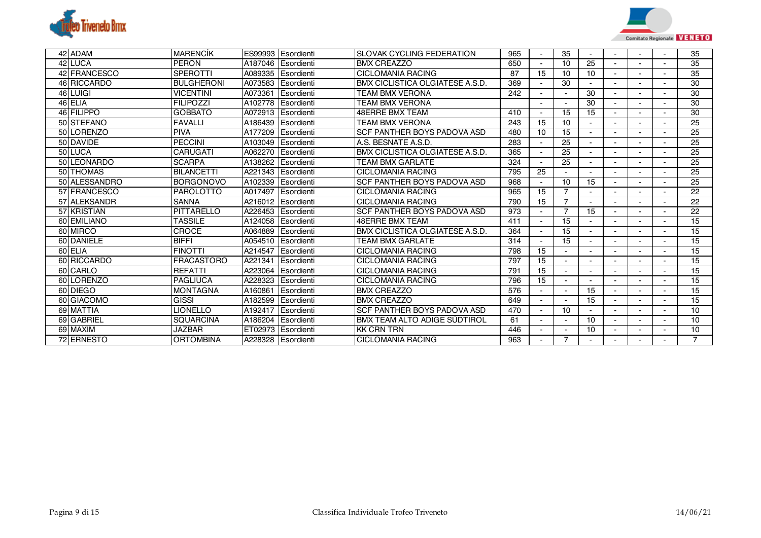



| 42 ADAM       | <b>MARENCIK</b>   |         | ES99993 Esordienti | <b>SLOVAK CYCLING FEDERATION</b> | 965 |    | 35                       |    |  | 35             |
|---------------|-------------------|---------|--------------------|----------------------------------|-----|----|--------------------------|----|--|----------------|
| 42 LUCA       | <b>PERON</b>      | A187046 | Esordienti         | <b>BMX CREAZZO</b>               | 650 |    | 10                       | 25 |  | 35             |
| 42 FRANCESCO  | <b>SPEROTTI</b>   | A089335 | Esordienti         | <b>CICLOMANIA RACING</b>         | 87  | 15 | 10                       | 10 |  | 35             |
| 46 RICCARDO   | <b>BULGHERONI</b> | A073583 | Esordienti         | BMX CICLISTICA OLGIATESE A.S.D.  | 369 |    | 30                       |    |  | 30             |
| 46 LUIGI      | <b>VICENTINI</b>  | A073361 | Esordienti         | TEAM BMX VERONA                  | 242 |    | $\overline{\phantom{a}}$ | 30 |  | 30             |
| 46 ELIA       | <b>FILIPOZZI</b>  | A102778 | Esordienti         | TEAM BMX VERONA                  |     |    |                          | 30 |  | 30             |
| 46 FILIPPO    | <b>GOBBATO</b>    | A072913 | Esordienti         | <b>48ERRE BMX TEAM</b>           | 410 |    | 15                       | 15 |  | 30             |
| 50 STEFANO    | <b>FAVALLI</b>    | A186439 | Esordienti         | <b>TEAM BMX VERONA</b>           | 243 | 15 | 10                       |    |  | 25             |
| 50 LORENZO    | <b>PIVA</b>       | A177209 | Esordienti         | SCF PANTHER BOYS PADOVA ASD      | 480 | 10 | 15                       |    |  | 25             |
| 50 DAVIDE     | <b>PECCINI</b>    | A103049 | Esordienti         | A.S. BESNATE A.S.D.              | 283 |    | 25                       |    |  | 25             |
| 50 LUCA       | <b>CARUGATI</b>   | A062270 | Esordienti         | BMX CICLISTICA OLGIATESE A.S.D.  | 365 |    | 25                       |    |  | 25             |
| 50 LEONARDO   | <b>SCARPA</b>     | A138262 | Esordienti         | <b>TEAM BMX GARLATE</b>          | 324 |    | 25                       |    |  | 25             |
| 50 THOMAS     | <b>BILANCETTI</b> | A221343 | Esordienti         | <b>CICLOMANIA RACING</b>         | 795 | 25 |                          |    |  | 25             |
| 50 ALESSANDRO | <b>BORGONOVO</b>  | A102339 | Esordienti         | SCF PANTHER BOYS PADOVA ASD      | 968 |    | 10                       | 15 |  | 25             |
| 57 FRANCESCO  | <b>PAROLOTTO</b>  | A017497 | Esordienti         | <b>CICLOMANIA RACING</b>         | 965 | 15 |                          |    |  | 22             |
| 57 ALEKSANDR  | <b>SANNA</b>      | A216012 | Esordienti         | <b>CICLOMANIA RACING</b>         | 790 | 15 | $\overline{7}$           |    |  | 22             |
| 57 KRISTIAN   | <b>PITTARELLO</b> | A226453 | Esordienti         | SCF PANTHER BOYS PADOVA ASD      | 973 |    | $\overline{7}$           | 15 |  | 22             |
| 60 EMILIANO   | <b>TASSILE</b>    | A124058 | Esordienti         | <b>48ERRE BMX TEAM</b>           | 411 |    | 15                       |    |  | 15             |
| 60 MIRCO      | CROCE             | A064889 | Esordienti         | BMX CICLISTICA OLGIATESE A.S.D.  | 364 |    | 15                       |    |  | 15             |
| 60 DANIELE    | <b>BIFFI</b>      | A054510 | Esordienti         | TEAM BMX GARLATE                 | 314 |    | 15                       |    |  | 15             |
| 60 ELIA       | <b>FINOTTI</b>    | A214547 | Esordienti         | <b>CICLOMANIA RACING</b>         | 798 | 15 |                          |    |  | 15             |
| 60 RICCARDO   | <b>FRACASTORO</b> | A221341 | Esordienti         | <b>CICLOMANIA RACING</b>         | 797 | 15 | $\blacksquare$           |    |  | 15             |
| 60 CARLO      | <b>REFATTI</b>    | A223064 | Esordienti         | <b>CICLOMANIA RACING</b>         | 791 | 15 |                          |    |  | 15             |
| 60 LORENZO    | <b>PAGLIUCA</b>   | A228323 | Esordienti         | <b>CICLOMANIA RACING</b>         | 796 | 15 | $\overline{\phantom{a}}$ |    |  | 15             |
| 60 DIEGO      | <b>MONTAGNA</b>   | A160861 | Esordienti         | <b>BMX CREAZZO</b>               | 576 |    |                          | 15 |  | 15             |
| 60 GIACOMO    | GISSI             | A182599 | Esordienti         | <b>BMX CREAZZO</b>               | 649 |    | $\overline{\phantom{a}}$ | 15 |  | 15             |
| 69 MATTIA     | LIONELLO          | A192417 | Esordienti         | SCF PANTHER BOYS PADOVA ASD      | 470 |    | 10                       |    |  | 10             |
| 69 GABRIEL    | <b>SQUARCINA</b>  | A186204 | Esordienti         | BMX TEAM ALTO ADIGE SÜDTIROL     | 61  |    | $\overline{\phantom{a}}$ | 10 |  | 10             |
| 69 MAXIM      | <b>JAZBAR</b>     |         | ET02973 Esordienti | <b>KK CRN TRN</b>                | 446 |    |                          | 10 |  | 10             |
| 72 ERNESTO    | <b>ORTOMBINA</b>  |         | A228328 Esordienti | <b>CICLOMANIA RACING</b>         | 963 |    | 7                        |    |  | $\overline{7}$ |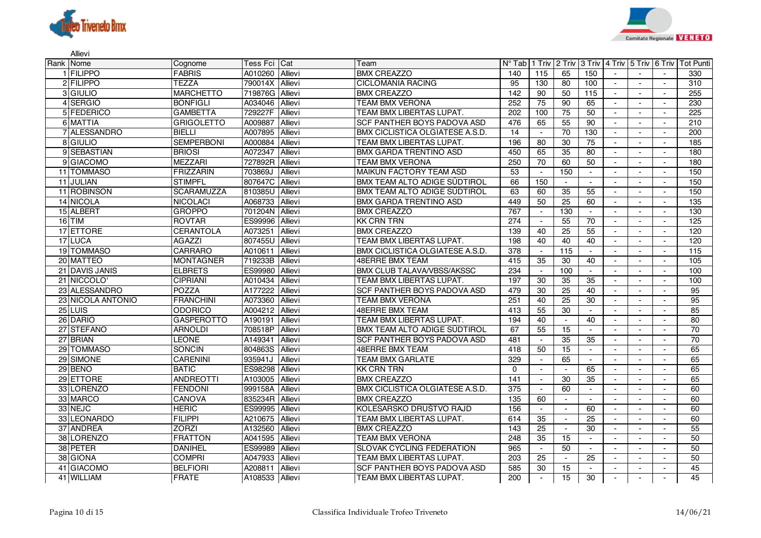

Allievi



| Rank Nome         | Cognome           | Tess Fci Cat    |                | Team                                   |                  |                          |                          |                 |                             |                          |                          | N° Tab   1 Triv   2 Triv   3 Triv   4 Triv   5 Triv   6 Triv   Tot Punti |
|-------------------|-------------------|-----------------|----------------|----------------------------------------|------------------|--------------------------|--------------------------|-----------------|-----------------------------|--------------------------|--------------------------|--------------------------------------------------------------------------|
| 1 FILIPPO         | <b>FABRIS</b>     | A010260 Allievi |                | <b>BMX CREAZZO</b>                     | 140              | 115                      | 65                       | 150             | $\sim$                      |                          | $\sim$                   | 330                                                                      |
| 2 FILIPPO         | <b>TEZZA</b>      | 790014X         | Allievi        | <b>CICLOMANIA RACING</b>               | 95               | 130                      | 80                       | 100             | $\sim$                      |                          |                          | 310                                                                      |
| 3 GIULIO          | <b>MARCHETTO</b>  | 719876G Allievi |                | <b>BMX CREAZZO</b>                     | $\overline{142}$ | 90                       | 50                       | 115             | $\sim$                      | $\blacksquare$           | $\sim$                   | 255                                                                      |
| 4 SERGIO          | <b>BONFIGLI</b>   | A034046         | Allievi        | <b>TEAM BMX VERONA</b>                 | 252              | 75                       | 90                       | 65              | $\blacksquare$              |                          |                          | 230                                                                      |
| 5 FEDERICO        | <b>GAMBETTA</b>   | 729227F         | Allievi        | TEAM BMX LIBERTAS LUPAT.               | $\overline{202}$ | 100                      | 75                       | 50              | $\mathcal{L}_{\mathcal{A}}$ | $\sim$                   | $\sim$                   | $\overline{225}$                                                         |
| 6 MATTIA          | <b>GRIGOLETTO</b> | A009887         | <b>Allievi</b> | SCF PANTHER BOYS PADOVA ASD            | 476              | 65                       | 55                       | 90              | $\mathbf{r}$                |                          |                          | 210                                                                      |
| 7 ALESSANDRO      | <b>BIELLI</b>     | A007895         | Allievi        | BMX CICLISTICA OLGIATESE A.S.D.        | 14               | $\overline{\phantom{a}}$ | 70                       | 130             | $\sim$                      | $\sim$                   | $\overline{a}$           | 200                                                                      |
| 8 GIULIO          | <b>SEMPERBONI</b> | A000884         | Allievi        | TEAM BMX LIBERTAS LUPAT.               | 196              | 80                       | 30                       | 75              | $\overline{a}$              |                          |                          | 185                                                                      |
| 9 SEBASTIAN       | <b>BRIOSI</b>     | A072347         | Allievi        | BMX GARDA TRENTINO ASD                 | 450              | 65                       | 35                       | 80              | $\sim$                      |                          |                          | 180                                                                      |
| 9 GIACOMO         | <b>MEZZARI</b>    | 727892R         | <b>Allievi</b> | <b>TEAM BMX VERONA</b>                 | 250              | $\overline{70}$          | 60                       | 50              | $\sim$                      |                          |                          | 180                                                                      |
| 11 TOMMASO        | <b>FRIZZARIN</b>  | 703869J         | <b>Allievi</b> | <b>MAIKUN FACTORY TEAM ASD</b>         | $\overline{53}$  |                          | 150                      | $\sim$          |                             |                          |                          | 150                                                                      |
| 11 JULIAN         | <b>STIMPFL</b>    | 807647C Allievi |                | <b>BMX TEAM ALTO ADIGE SÜDTIROL</b>    | 66               | 150                      | $\sim$                   |                 | $\sim$                      |                          |                          | 150                                                                      |
| 11 ROBINSON       | <b>SCARAMUZZA</b> | 810385U         | Allievi        | BMX TEAM ALTO ADIGE SÜDTIROL           | 63               | 60                       | 35                       | 55              | $\sim$                      | $\blacksquare$           |                          | 150                                                                      |
| <b>14 NICOLA</b>  | <b>NICOLACI</b>   | A068733 Allievi |                | <b>BMX GARDA TRENTINO ASD</b>          | 449              | 50                       | $\overline{25}$          | 60              | $\sim$                      | $\blacksquare$           | $\overline{a}$           | $\frac{135}{2}$                                                          |
| 15 ALBERT         | <b>GROPPO</b>     | 701204N         | Allievi        | <b>BMX CREAZZO</b>                     | 767              |                          | 130                      |                 |                             |                          |                          | 130                                                                      |
| $16$ TIM          | <b>ROVTAR</b>     | ES99996 Allievi |                | <b>KK CRN TRN</b>                      | 274              | $\sim$                   | 55                       | 70              | $\sim$                      | $\overline{\phantom{a}}$ | $\overline{\phantom{a}}$ | 125                                                                      |
| 17 ETTORE         | <b>CERANTOLA</b>  | A073251         | Allievi        | <b>BMX CREAZZO</b>                     | 139              | 40                       | 25                       | 55              | $\blacksquare$              |                          |                          | 120                                                                      |
| 17 LUCA           | <b>AGAZZI</b>     | 807455U Allievi |                | TEAM BMX LIBERTAS LUPAT.               | 198              | 40                       | 40                       | 40              | $\sim$                      | $\sim$                   | $\overline{\phantom{a}}$ | 120                                                                      |
| 19 TOMMASO        | CARRARO           | A010611         | Allievi        | <b>BMX CICLISTICA OLGIATESE A.S.D.</b> | 378              |                          | 115                      |                 |                             |                          |                          | 115                                                                      |
| 20 MATTEO         | <b>MONTAGNER</b>  | 719233B         | Allievi        | <b>48ERRE BMX TEAM</b>                 | 415              | $\overline{35}$          | 30                       | 40              | $\mathcal{L}_{\mathcal{A}}$ | $\sim$                   | $\overline{a}$           | 105                                                                      |
| 21 DAVIS JANIS    | <b>ELBRETS</b>    | ES99980         | Allievi        | BMX CLUB TALAVA/VBSS/AKSSC             | 234              |                          | 100                      | $\sim$          | $\sim$                      |                          |                          | 100                                                                      |
| 21 NICCOLO        | <b>CIPRIANI</b>   | A010434         | Allievi        | TEAM BMX LIBERTAS LUPAT.               | 197              | 30                       | 35                       | 35              | $\sim$                      |                          |                          | 100                                                                      |
| 23 ALESSANDRO     | <b>POZZA</b>      | A177222         | Allievi        | SCF PANTHER BOYS PADOVA ASD            | 479              | 30                       | $\overline{25}$          | 40              |                             |                          |                          | 95                                                                       |
| 23 NICOLA ANTONIO | <b>FRANCHINI</b>  | A073360         | Allievi        | <b>TEAM BMX VERONA</b>                 | 251              | 40                       | $\overline{25}$          | 30              | $\sim$                      | $\overline{\phantom{a}}$ |                          | 95                                                                       |
| $25$ LUIS         | <b>ODORICO</b>    | A004212         | Allievi        | <b>48ERRE BMX TEAM</b>                 | 413              | 55                       | 30                       |                 |                             |                          |                          | 85                                                                       |
| 26 DARIO          | <b>GASPEROTTO</b> | A190191         | <b>Allievi</b> | TEAM BMX LIBERTAS LUPAT.               | 194              | 40                       | $\overline{\phantom{a}}$ | 40              | $\blacksquare$              |                          |                          | 80                                                                       |
| 27 STEFANO        | <b>ARNOLDI</b>    | 708518P Allievi |                | <b>BMX TEAM ALTO ADIGE SÜDTIROL</b>    | 67               | 55                       | 15                       |                 | $\sim$                      |                          |                          | 70                                                                       |
| 27 BRIAN          | LEONE             | A149341         | <b>Allievi</b> | SCF PANTHER BOYS PADOVA ASD            | 481              |                          | $\overline{35}$          | 35              | $\sim$                      |                          |                          | 70                                                                       |
| 29 TOMMASO        | <b>SONCIN</b>     | 804863S Allievi |                | <b>48ERRE BMX TEAM</b>                 | 418              | 50                       | 15                       | $\sim$          | $\blacksquare$              | $\blacksquare$           |                          | 65                                                                       |
| 29 SIMONE         | <b>CARENINI</b>   | 935941J         | Allievi        | <b>TEAM BMX GARLATE</b>                | 329              |                          | 65                       |                 |                             |                          |                          | 65                                                                       |
| 29 BENO           | <b>BATIC</b>      | ES98298 Allievi |                | <b>KK CRN TRN</b>                      | $\Omega$         | $\blacksquare$           | $\sim$                   | 65              | $\sim$                      | $\sim$                   | $\overline{\phantom{a}}$ | 65                                                                       |
| 29 ETTORE         | ANDREOTTI         | A103005         | Allievi        | <b>BMX CREAZZO</b>                     | 141              |                          | 30                       | 35              | $\blacksquare$              | $\blacksquare$           |                          | 65                                                                       |
| 33 LORENZO        | <b>FENDONI</b>    | 999158A Allievi |                | BMX CICLISTICA OLGIATESE A.S.D.        | 375              |                          | 60                       | $\sim$          | $\sim$                      | $\overline{\phantom{a}}$ | $\overline{\phantom{a}}$ | 60                                                                       |
| 33 MARCO          | <b>CANOVA</b>     | 835234R Allievi |                | <b>BMX CREAZZO</b>                     | $\frac{135}{2}$  | 60                       |                          |                 | $\sim$                      |                          |                          | 60                                                                       |
| 33 NEJC           | HERIC             | ES99995 Allievi |                | KOLESARSKO DRUŠTVO RAJD                | 156              |                          | $\blacksquare$           | 60              | $\sim$                      | $\sim$                   | $\blacksquare$           | 60                                                                       |
| 33 LEONARDO       | <b>FILIPPI</b>    | A210675         | <b>Allievi</b> | <b>TEAM BMX LIBERTAS LUPAT.</b>        | 614              | 35                       | $\sim$                   | $\overline{25}$ | $\sim$                      | $\overline{\phantom{a}}$ |                          | 60                                                                       |
| 37 ANDREA         | <b>ZORZI</b>      | A132560 Allievi |                | <b>BMX CREAZZO</b>                     | 143              | 25                       | $\sim$                   | 30              | $\sim$                      |                          |                          | 55                                                                       |
| 38 LORENZO        | <b>FRATTON</b>    | A041595 Allievi |                | <b>TEAM BMX VERONA</b>                 | 248              | 35                       | 15                       |                 |                             |                          |                          | 50                                                                       |
| 38 PETER          | <b>DANIHEL</b>    | ES99989         | Allievi        | SLOVAK CYCLING FEDERATION              | 965              |                          | 50                       | $\sim$          | $\sim$                      | $\overline{\phantom{a}}$ |                          | 50                                                                       |
| 38 GIONA          | <b>COMPRI</b>     | A047933 Allievi |                | TEAM BMX LIBERTAS LUPAT.               | 203              | 25                       | $\sim$                   | 25              | $\sim$                      | $\overline{a}$           |                          | 50                                                                       |
| 41 GIACOMO        | <b>BELFIORI</b>   | A208811         | Allievi        | SCF PANTHER BOYS PADOVA ASD            | 585              | 30                       | 15                       | $\sim$          |                             |                          |                          | 45                                                                       |
| 41 WILLIAM        | <b>FRATE</b>      | A108533 Allievi |                | TEAM BMX LIBERTAS LUPAT.               | 200              |                          | $\overline{15}$          | 30              |                             |                          |                          | 45                                                                       |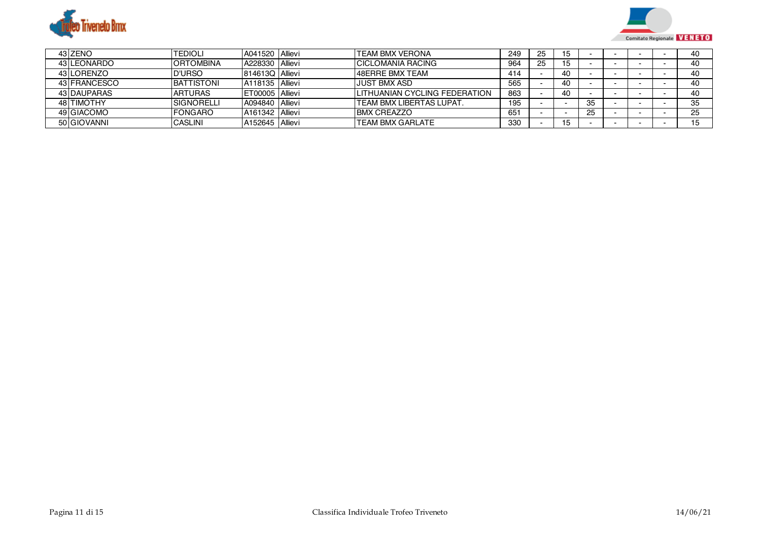



| 43 ZENO      | <b>TEDIOLI</b>    | A041520 Allievi             | <b>TEAM BMX VERONA</b>                | 249 | 25 | 15 |    |  | 40 |
|--------------|-------------------|-----------------------------|---------------------------------------|-----|----|----|----|--|----|
| 43 LEONARDO  | <b>ORTOMBINA</b>  | A228330 Allievi             | <b>ICICLOMANIA RACING</b>             | 964 | 25 | 15 |    |  | 40 |
| 43 LORENZO   | <b>ID'URSO</b>    | <b>814613Q Allievi</b>      | 48ERRE BMX TEAM                       | 414 |    | 40 |    |  | 40 |
| 43 FRANCESCO | <b>BATTISTONI</b> | A118135 Allievi             | <b>JUST BMX ASD</b>                   | 565 |    | 40 |    |  | 40 |
| 43 DAUPARAS  | <b>ARTURAS</b>    | ET00005 Allievi             | <b>ILITHUANIAN CYCLING FEDERATION</b> | 863 |    | 40 |    |  | 40 |
| 48 TIMOTHY   | <b>SIGNORELLI</b> | A094840 Allievi             | <b>ITEAM BMX LIBERTAS LUPAT.</b>      | 195 |    |    | 35 |  | 35 |
| 49 GIACOMO   | <b>FONGARO</b>    | A161342 Allievi             | <b>BMX CREAZZO</b>                    | 651 |    |    | 25 |  | 25 |
| 50 GIOVANNI  | <b>ICASLINI</b>   | A <sub>152645</sub> Allievi | <b>TEAM BMX GARLATE</b>               | 330 |    | 15 |    |  |    |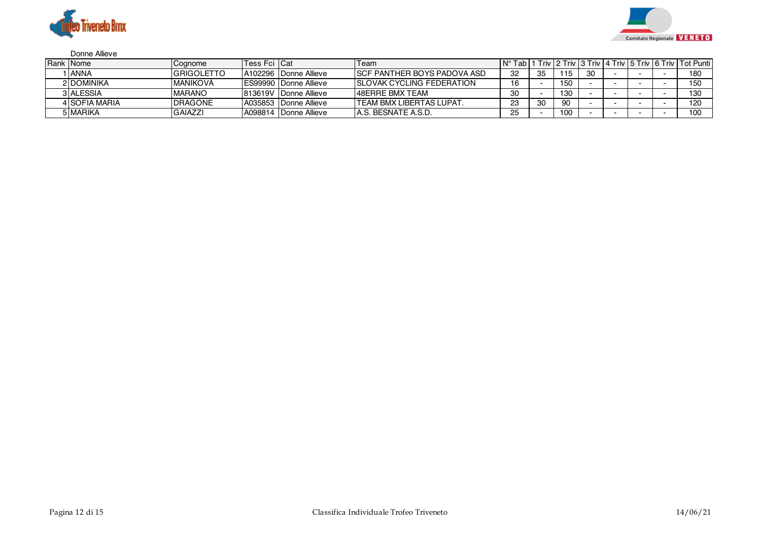



## Donne Allieve

| Rank Nome     | Cognome            | <b>Tess Fci ICat</b> |                                | Team                                | ∣N°<br>Tabl |    |     |    |  | I Triv   2 Triv   3 Triv   4 Triv   5 Triv   6 Triv   Tot Punti |
|---------------|--------------------|----------------------|--------------------------------|-------------------------------------|-------------|----|-----|----|--|-----------------------------------------------------------------|
| 1 I ANNA      | <b>IGRIGOLETTO</b> |                      | LA102296 Donne Allieve         | <b>ISCF PANTHER BOYS PADOVA ASD</b> | 32          | 35 | 115 | 30 |  | 180                                                             |
| 2 DOMINIKA    | MANIKOVÁ           |                      | <b>IES99990 IDonne Allieve</b> | <b>ISLOVAK CYCLING FEDERATION</b>   | 16          |    | 150 |    |  | 150                                                             |
| 3 ALESSIA     | <b>IMARANO</b>     |                      | <b>813619V Donne Allieve</b>   | <b>48ERRE BMX TEAM</b>              | 30          |    | 130 |    |  | 130                                                             |
| 4 SOFIA MARIA | <b>DRAGONE</b>     |                      | A035853 Donne Allieve          | ITEAM BMX LIBERTAS LUPAT.           | 23          | 30 | 90  |    |  | 120                                                             |
| 5 MARIKA      | <b>GAIAZZI</b>     |                      | A098814 Donne Allieve          | IA.S. BESNATE A.S.D.                | 25          |    | 100 |    |  | 10 <sub>C</sub>                                                 |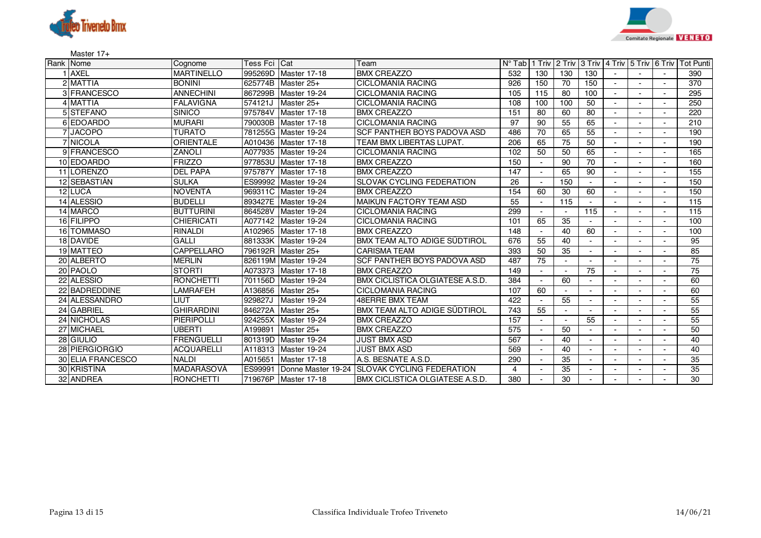



Master 17+

| Rank Nome         | Cognome           | Tess Fci Cat |                      | Team                                   | $N^{\circ}$ Tab |     |                          |     |  | 1 Triv 2 Triv 3 Triv 4 Triv 5 Triv 6 Triv Tot Punti |
|-------------------|-------------------|--------------|----------------------|----------------------------------------|-----------------|-----|--------------------------|-----|--|-----------------------------------------------------|
| <b>AXEL</b>       | <b>MARTINELLO</b> |              | 995269D Master 17-18 | <b>BMX CREAZZO</b>                     | 532             | 130 | 130                      | 130 |  | 390                                                 |
| 2 MATTIA          | <b>BONINI</b>     |              | 625774B Master 25+   | <b>CICLOMANIA RACING</b>               | 926             | 150 | 70                       | 150 |  | 370                                                 |
| 3 FRANCESCO       | <b>ANNECHINI</b>  |              | 867299B Master 19-24 | <b>CICLOMANIA RACING</b>               | 105             | 115 | 80                       | 100 |  | 295                                                 |
| 4 MATTIA          | <b>FALAVIGNA</b>  | 574121J      | Master 25+           | <b>CICLOMANIA RACING</b>               | 108             | 100 | 100                      | 50  |  | 250                                                 |
| 5 STEFANO         | <b>SINICO</b>     | 975784V      | Master 17-18         | <b>BMX CREAZZO</b>                     | 151             | 80  | 60                       | 80  |  | 220                                                 |
| 6 EDOARDO         | <b>MURARI</b>     |              | 790030B Master 17-18 | <b>CICLOMANIA RACING</b>               | $\overline{97}$ | 90  | 55                       | 65  |  | 210                                                 |
| 7 JACOPO          | <b>TURATO</b>     |              | 781255G Master 19-24 | <b>SCF PANTHER BOYS PADOVA ASD</b>     | 486             | 70  | 65                       | 55  |  | 190                                                 |
| 7 NICOLA          | <b>ORIENTALE</b>  |              | A010436 Master 17-18 | TEAM BMX LIBERTAS LUPAT.               | 206             | 65  | 75                       | 50  |  | 190                                                 |
| 9 FRANCESCO       | <b>ZANOLI</b>     |              | A077935 Master 19-24 | <b>CICLOMANIA RACING</b>               | 102             | 50  | 50                       | 65  |  | 165                                                 |
| 10 EDOARDO        | <b>FRIZZO</b>     |              | 977853U Master 17-18 | <b>BMX CREAZZO</b>                     | 150             |     | 90                       | 70  |  | 160                                                 |
| 11 LORENZO        | <b>DEL PAPA</b>   | 975787Y      | Master 17-18         | <b>BMX CREAZZO</b>                     | 147             |     | 65                       | 90  |  | 155                                                 |
| 12 SEBASTIÁN      | <b>SULKA</b>      |              | ES99992 Master 19-24 | <b>SLOVAK CYCLING FEDERATION</b>       | 26              |     | 150                      |     |  | 150                                                 |
| 12 LUCA           | <b>NOVENTA</b>    |              | 969311C Master 19-24 | <b>BMX CREAZZO</b>                     | 154             | 60  | 30                       | 60  |  | 150                                                 |
| 14 ALESSIO        | <b>BUDELLI</b>    |              | 893427E Master 19-24 | <b>MAIKUN FACTORY TEAM ASD</b>         | 55              |     | 115                      |     |  | 115                                                 |
| 14 MARCO          | <b>BUTTURINI</b>  |              | 864528V Master 19-24 | <b>CICLOMANIA RACING</b>               | 299             |     |                          | 115 |  | 115                                                 |
| 16 FILIPPO        | <b>CHIERICATI</b> |              | A077142 Master 19-24 | <b>CICLOMANIA RACING</b>               | 101             | 65  | 35                       |     |  | 100                                                 |
| 16 TOMMASO        | <b>RINALDI</b>    |              | A102965 Master 17-18 | <b>BMX CREAZZO</b>                     | 148             |     | 40                       | 60  |  | 100                                                 |
| 18 DAVIDE         | <b>GALLI</b>      |              | 881333K Master 19-24 | BMX TEAM ALTO ADIGE SÜDTIROL           | 676             | 55  | 40                       |     |  | 95                                                  |
| 19 MATTEO         | <b>CAPPELLARO</b> |              | 796192R Master 25+   | <b>CARISMA TEAM</b>                    | 393             | 50  | 35                       |     |  | 85                                                  |
| 20 ALBERTO        | <b>MERLIN</b>     |              | 826119M Master 19-24 | SCF PANTHER BOYS PADOVA ASD            | 487             | 75  | $\overline{\phantom{a}}$ |     |  | 75                                                  |
| 20 PAOLO          | <b>STORTI</b>     |              | A073373 Master 17-18 | <b>BMX CREAZZO</b>                     | 149             |     | $\blacksquare$           | 75  |  | 75                                                  |
| 22 ALESSIO        | <b>RONCHETTI</b>  |              | 701156D Master 19-24 | <b>BMX CICLISTICA OLGIATESE A.S.D.</b> | 384             |     | 60                       |     |  | 60                                                  |
| 22 BADREDDINE     | LAMRAFEH          |              | A136856 Master 25+   | <b>CICLOMANIA RACING</b>               | 107             | 60  |                          |     |  | 60                                                  |
| 24 ALESSANDRO     | LIUT              | 929827J      | Master 19-24         | <b>48ERRE BMX TEAM</b>                 | 422             |     | 55                       |     |  | 55                                                  |
| 24 GABRIEL        | <b>GHIRARDINI</b> |              | 846272A Master 25+   | BMX TEAM ALTO ADIGE SÜDTIROL           | 743             | 55  | $\blacksquare$           |     |  | $\overline{55}$                                     |
| 24 NICHOLAS       | <b>PIERIPOLLI</b> |              | 924255X Master 19-24 | <b>BMX CREAZZO</b>                     | 157             |     |                          | 55  |  | 55                                                  |
| 27 MICHAEL        | UBERTI            | A199891      | Master 25+           | <b>BMX CREAZZO</b>                     | 575             |     | 50                       |     |  | 50                                                  |
| 28 GIULIO         | <b>FRENGUELLI</b> |              | 801319D Master 19-24 | <b>JUST BMX ASD</b>                    | 567             |     | 40                       |     |  | 40                                                  |
| 28 PIERGIORGIO    | <b>ACQUARELLI</b> |              | A118313 Master 19-24 | <b>JUST BMX ASD</b>                    | 569             |     | 40                       |     |  | 40                                                  |
| 30 ELIA FRANCESCO | <b>NALDI</b>      | A015651      | Master 17-18         | A.S. BESNATE A.S.D.                    | 290             |     | 35                       |     |  | 35                                                  |
| 30 KRISTÍNA       | <b>MADARÁSOVÁ</b> | ES99991      | Donne Master 19-24   | <b>ISLOVAK CYCLING FEDERATION</b>      | 4               |     | 35                       |     |  | 35                                                  |
| 32 ANDREA         | <b>RONCHETTI</b>  |              | 719676P Master 17-18 | <b>BMX CICLISTICA OLGIATESE A.S.D.</b> | 380             |     | 30                       |     |  | 30                                                  |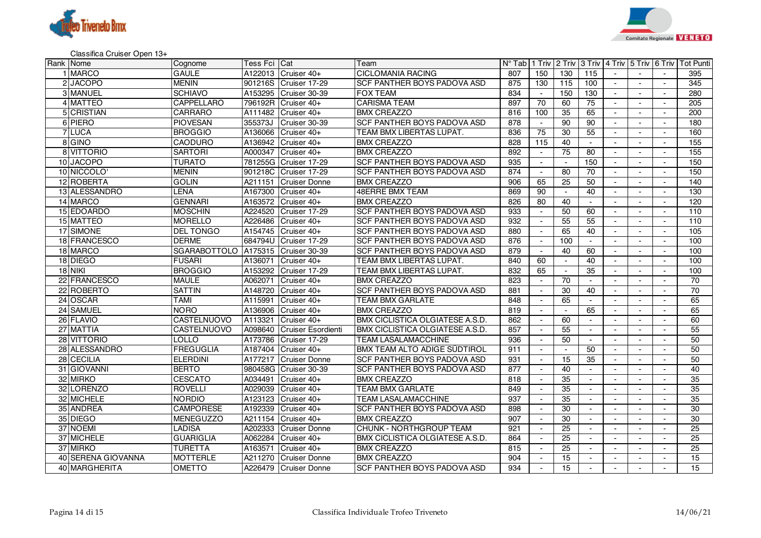



Classifica Cruiser Open 13+

| Rank Nome |                    | Cognome                            | Tess Fci ICat |                       | Team                                   |     |                          |                 |                 |                          |                          |                          | N° Tabl 1 Triv   2 Triv   3 Triv   4 Triv   5 Triv   6 Triv   Tot Punti |
|-----------|--------------------|------------------------------------|---------------|-----------------------|----------------------------------------|-----|--------------------------|-----------------|-----------------|--------------------------|--------------------------|--------------------------|-------------------------------------------------------------------------|
|           | 1 MARCO            | <b>GAULE</b>                       |               | A122013 Cruiser 40+   | <b>CICLOMANIA RACING</b>               | 807 | 150                      | 130             | 115             |                          |                          |                          | 395                                                                     |
|           | 2 JACOPO           | <b>MENIN</b>                       |               | 901216S Cruiser 17-29 | SCF PANTHER BOYS PADOVA ASD            | 875 | 130                      | 115             | 100             | $\sim$                   | $\sim$                   | $\sim$                   | 345                                                                     |
|           | 3 MANUEL           | <b>SCHIAVO</b>                     | A153295       | Cruiser 30-39         | <b>FOX TEAM</b>                        | 834 | $\sim$                   | 150             | 130             | $\blacksquare$           | $\sim$                   | $\sim$                   | 280                                                                     |
|           | 4 MATTEO           | <b>CAPPELLARO</b>                  |               | 796192R Cruiser 40+   | <b>CARISMA TEAM</b>                    | 897 | $\overline{70}$          | 60              | 75              |                          | $\overline{\phantom{a}}$ | $\blacksquare$           | 205                                                                     |
|           | 5 CRISTIAN         | CARRARO                            | A111482       | Cruiser 40+           | <b>BMX CREAZZO</b>                     | 816 | 100                      | 35              | 65              |                          |                          |                          | 200                                                                     |
|           | 6 PIERO            | <b>PIOVESAN</b>                    |               | 355373J Cruiser 30-39 | SCF PANTHER BOYS PADOVA ASD            | 878 | $\sim$                   | 90              | 90              | $\sim$                   | $\sim$                   | $\overline{\phantom{a}}$ | 180                                                                     |
|           | 7 LUCA             | <b>BROGGIO</b>                     | A136066       | Cruiser 40+           | TEAM BMX LIBERTAS LUPAT.               | 836 | 75                       | 30              | 55              | $\sim$                   |                          | $\blacksquare$           | 160                                                                     |
|           | 8 GINO             | <b>CAODURO</b>                     | A136942       | Cruiser 40+           | <b>BMX CREAZZO</b>                     | 828 | 115                      | 40              |                 |                          |                          |                          | 155                                                                     |
|           | 8 VITTORIO         | <b>SARTORI</b>                     | A000347       | Cruiser 40+           | <b>BMX CREAZZO</b>                     | 892 |                          | 75              | 80              |                          |                          |                          | 155                                                                     |
|           | 10 JACOPO          | <b>TURATO</b>                      |               | 781255G Cruiser 17-29 | SCF PANTHER BOYS PADOVA ASD            | 935 |                          | $\blacksquare$  | 150             |                          |                          |                          | 150                                                                     |
|           | 10 NICCOLO         | <b>MENIN</b>                       |               | 901218C Cruiser 17-29 | SCF PANTHER BOYS PADOVA ASD            | 874 | $\overline{\phantom{a}}$ | 80              | 70              | $\sim$                   | $\overline{a}$           | $\sim$                   | 150                                                                     |
|           | 12 ROBERTA         | <b>GOLIN</b>                       | A211151       | Cruiser Donne         | <b>BMX CREAZZO</b>                     | 906 | 65                       | 25              | 50              |                          |                          |                          | 140                                                                     |
|           | 13 ALESSANDRO      | LENA                               | A167300       | Cruiser 40+           | <b>48ERRE BMX TEAM</b>                 | 869 | 90                       | $\sim$          | 40              |                          | $\sim$                   |                          | 130                                                                     |
|           | 14 MARCO           | <b>GENNARI</b>                     |               | A163572 Cruiser 40+   | <b>BMX CREAZZO</b>                     | 826 | 80                       | 40              |                 |                          |                          |                          | 120                                                                     |
|           | 15 EDOARDO         | <b>MOSCHIN</b>                     | A224520       | Cruiser 17-29         | SCF PANTHER BOYS PADOVA ASD            | 933 | $\overline{\phantom{a}}$ | 50              | 60              | $\sim$                   | $\sim$                   | $\sim$                   | 110                                                                     |
|           | 15 MATTEO          | <b>MORELLO</b>                     | A226486       | Cruiser 40+           | SCF PANTHER BOYS PADOVA ASD            | 932 |                          | $\overline{55}$ | $\overline{55}$ |                          |                          | $\blacksquare$           | 110                                                                     |
|           | 17 SIMONE          | <b>DEL TONGO</b>                   | A154745       | Cruiser 40+           | SCF PANTHER BOYS PADOVA ASD            | 880 | $\sim$                   | 65              | 40              | $\sim$                   | $\sim$                   | $\sim$                   | $\frac{105}{2}$                                                         |
|           | 18 FRANCESCO       | <b>DERME</b>                       |               | 684794U Cruiser 17-29 | SCF PANTHER BOYS PADOVA ASD            | 876 |                          | 100             |                 |                          |                          |                          | 100                                                                     |
|           | 18 MARCO           | SGARABOTTOLO A175315 Cruiser 30-39 |               |                       | SCF PANTHER BOYS PADOVA ASD            | 879 | $\sim$                   | 40              | 60              | $\sim$                   | $\sim$                   | $\overline{\phantom{a}}$ | 100                                                                     |
|           | 18 DIEGO           | <b>FUSARI</b>                      | A136071       | Cruiser 40+           | TEAM BMX LIBERTAS LUPAT.               | 840 | 60                       | $\blacksquare$  | 40              | $\sim$                   |                          | $\blacksquare$           | 100                                                                     |
|           | <b>18 NIKI</b>     | <b>BROGGIO</b>                     | A153292       | Cruiser 17-29         | TEAM BMX LIBERTAS LUPAT.               | 832 | 65                       | $\sim$          | 35              |                          | $\blacksquare$           |                          | 100                                                                     |
|           | 22 FRANCESCO       | <b>MAULE</b>                       | A062071       | Cruiser 40+           | <b>BMX CREAZZO</b>                     | 823 |                          | $\overline{70}$ |                 |                          |                          |                          | $\overline{70}$                                                         |
|           | 22 ROBERTO         | <b>SATTIN</b>                      | A148720       | Cruiser 40+           | SCF PANTHER BOYS PADOVA ASD            | 881 |                          | 30              | 40              |                          |                          |                          | $\overline{70}$                                                         |
|           | 24 OSCAR           | TAMI                               | A115991       | Cruiser 40+           | <b>TEAM BMX GARLATE</b>                | 848 |                          | 65              | $\sim$          | $\sim$                   |                          | $\sim$                   | 65                                                                      |
|           | 24 SAMUEL          | <b>NORO</b>                        | A136906       | Cruiser 40+           | <b>BMX CREAZZO</b>                     | 819 |                          | $\sim$          | 65              |                          |                          |                          | 65                                                                      |
|           | 26 FLAVIO          | CASTELNUOVO                        | A113321       | Cruiser 40+           | <b>BMX CICLISTICA OLGIATESE A.S.D.</b> | 862 |                          | 60              | $\sim$          |                          | $\overline{\phantom{a}}$ | $\overline{a}$           | 60                                                                      |
|           | 27 MATTIA          | CASTELNUOVO                        | A098640       | Cruiser Esordienti    | <b>BMX CICLISTICA OLGIATESE A.S.D.</b> | 857 |                          | 55              |                 |                          |                          |                          | 55                                                                      |
|           | 28 VITTORIO        | LOLLO                              | A173786       | Cruiser 17-29         | <b>TEAM LASALAMACCHINE</b>             | 936 | $\sim$                   | 50              | $\sim$          | $\sim$                   | $\sim$                   | $\sim$                   | 50                                                                      |
|           | 28 ALESSANDRO      | <b>FREGUGLIA</b>                   | A187404       | Cruiser 40+           | BMX TEAM ALTO ADIGE SÜDTIROL           | 911 |                          | $\blacksquare$  | 50              |                          |                          |                          | 50                                                                      |
|           | 28 CECILIA         | <b>ELERDINI</b>                    | A177217       | <b>Cruiser Donne</b>  | SCF PANTHER BOYS PADOVA ASD            | 931 | $\overline{\phantom{a}}$ | 15              | 35              | $\sim$                   | $\sim$                   | $\blacksquare$           | 50                                                                      |
|           | 31 GIOVANNI        | <b>BERTO</b>                       |               | 980458G Cruiser 30-39 | SCF PANTHER BOYS PADOVA ASD            | 877 |                          | 40              |                 |                          |                          |                          | 40                                                                      |
|           | 32 MIRKO           | <b>CESCATO</b>                     | A034491       | Cruiser 40+           | <b>BMX CREAZZO</b>                     | 818 | $\overline{\phantom{a}}$ | 35              | $\sim$          | $\sim$                   | $\sim$                   | $\sim$                   | 35                                                                      |
|           | 32 LORENZO         | <b>ROVELLI</b>                     | A029039       | Cruiser 40+           | <b>TEAM BMX GARLATE</b>                | 849 |                          | 35              | $\sim$          | $\blacksquare$           |                          |                          | 35                                                                      |
|           | 32 MICHELE         | <b>NORDIO</b>                      | A123123       | Cruiser 40+           | TEAM LASALAMACCHINE                    | 937 | $\overline{\phantom{a}}$ | 35              | $\sim$          |                          | $\sim$                   | $\blacksquare$           | 35                                                                      |
|           | 35 ANDREA          | <b>CAMPORESE</b>                   | A192339       | Cruiser 40+           | SCF PANTHER BOYS PADOVA ASD            | 898 |                          | $\overline{30}$ |                 |                          |                          |                          | 30                                                                      |
|           | 35 DIEGO           | <b>MENEGUZZO</b>                   | A211154       | Cruiser 40+           | <b>BMX CREAZZO</b>                     | 907 |                          | 30              | $\sim$          |                          | $\overline{a}$           |                          | 30                                                                      |
|           | 37 NOEMI           | LADISA                             | A202333       | <b>Cruiser Donne</b>  | <b>CHUNK - NORTHGROUP TEAM</b>         | 921 |                          | 25              | $\sim$          | $\sim$                   |                          |                          | 25                                                                      |
|           | 37 MICHELE         | <b>GUARIGLIA</b>                   | A062284       | Cruiser 40+           | BMX CICLISTICA OLGIATESE A.S.D.        | 864 | $\overline{\phantom{a}}$ | 25              | $\sim$          |                          | $\overline{a}$           |                          | $\overline{25}$                                                         |
|           | 37 MIRKO           | <b>TURETTA</b>                     | A163571       | Cruiser 40+           | <b>BMX CREAZZO</b>                     | 815 |                          | 25              | $\sim$          | $\overline{\phantom{a}}$ |                          |                          | 25                                                                      |
|           | 40 SERENA GIOVANNA | <b>MOTTERLE</b>                    | A211270       | Cruiser Donne         | <b>BMX CREAZZO</b>                     | 904 |                          | 15              |                 |                          |                          |                          | 15                                                                      |
|           | 40 MARGHERITA      | <b>OMETTO</b>                      |               | A226479 Cruiser Donne | SCF PANTHER BOYS PADOVA ASD            | 934 |                          | 15              |                 | $\sim$                   | $\sim$                   | $\sim$                   | 15                                                                      |